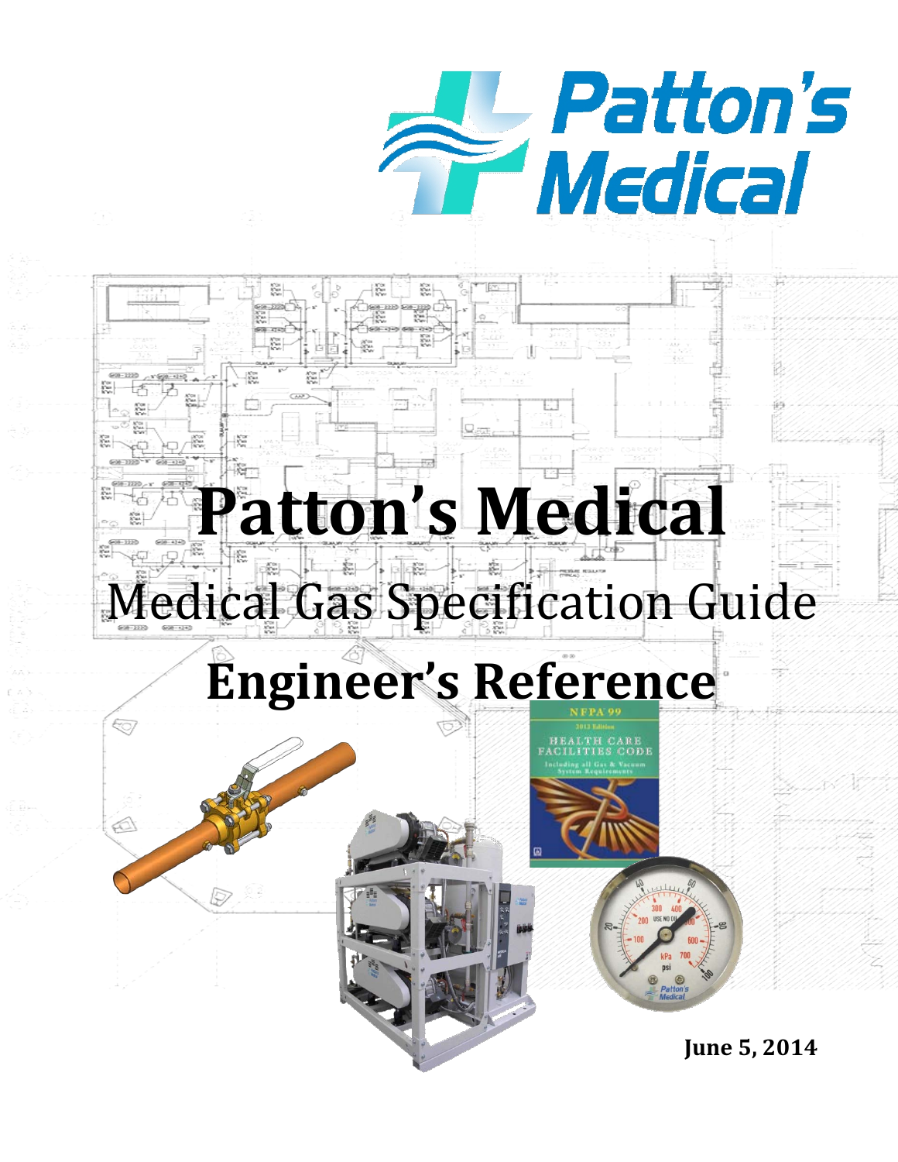

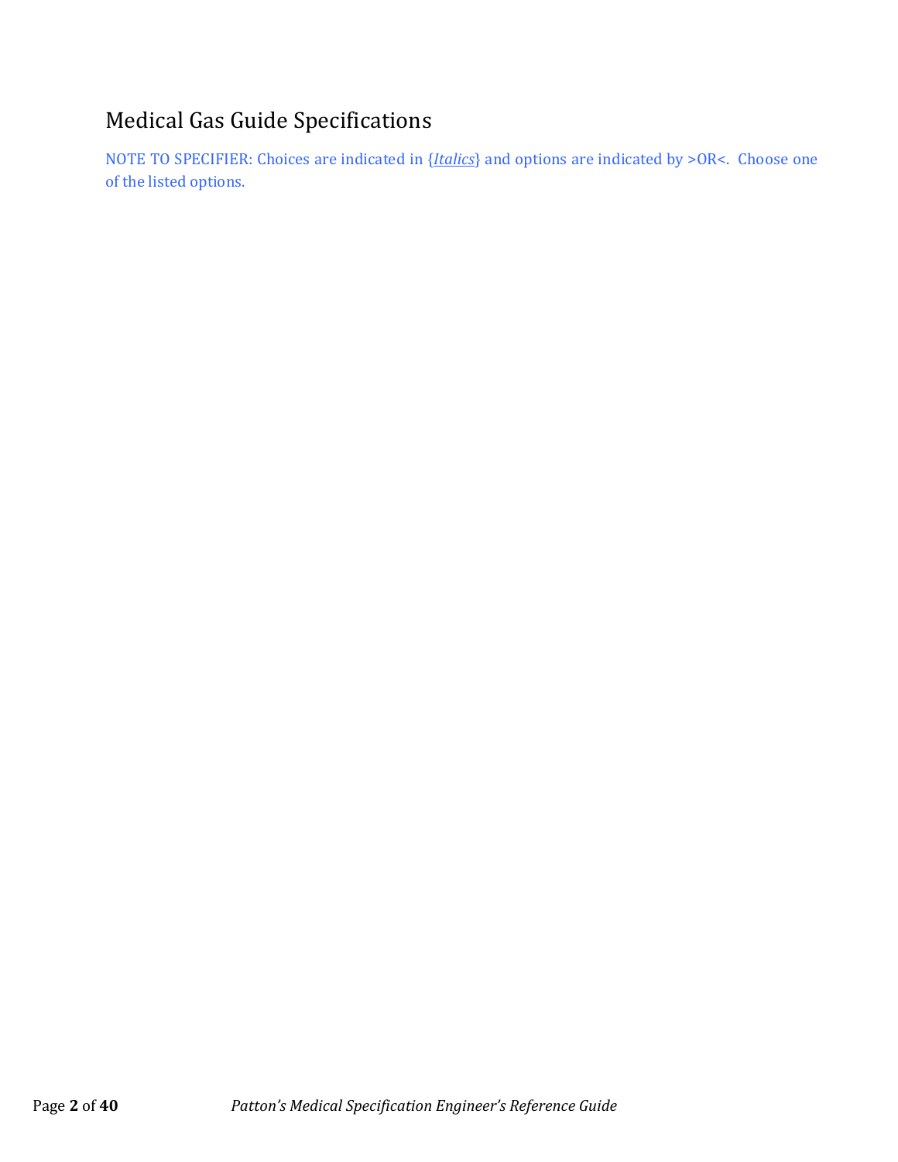# Medical Gas Guide Specifications

NOTE TO SPECIFIER: Choices are indicated in {*Italics*} and options are indicated by >OR<. Choose one of the listed options.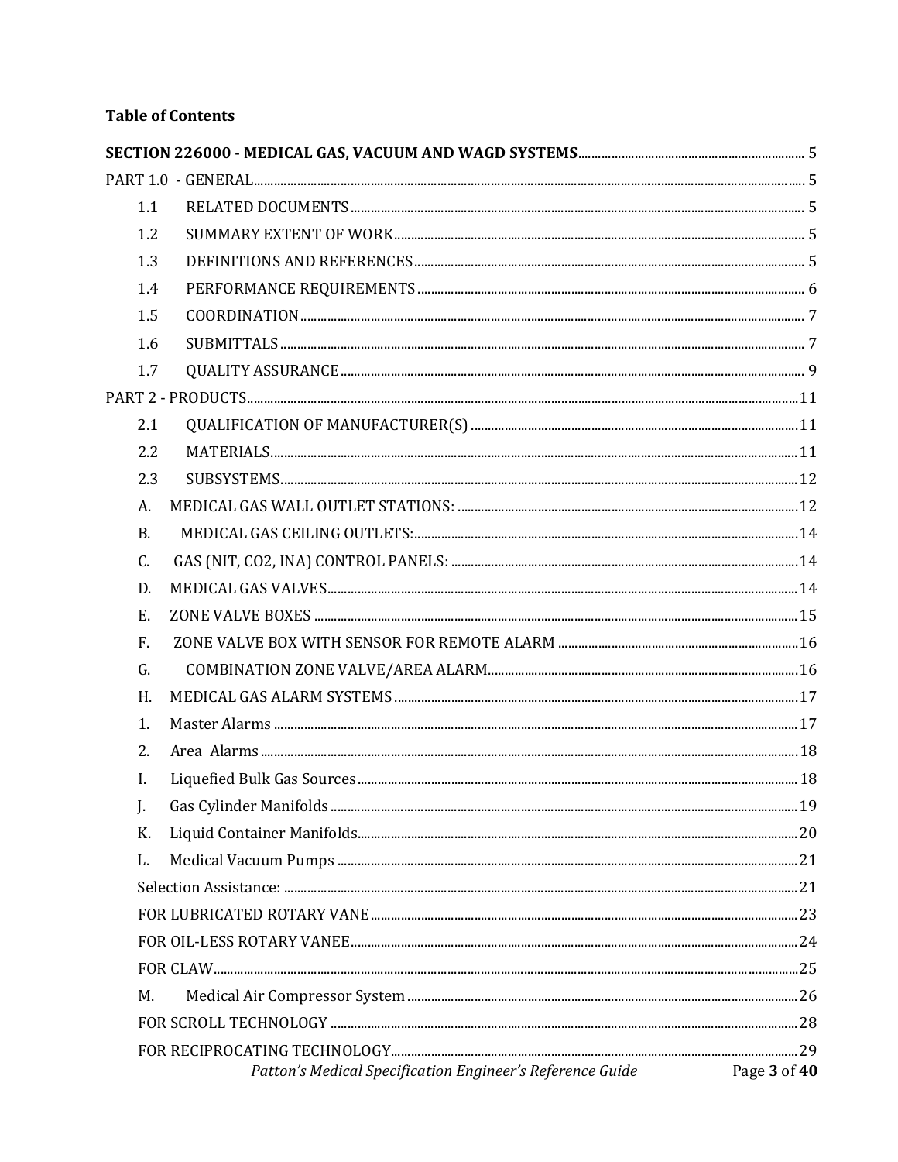# **Table of Contents**

| 1.1       |                                                           |              |  |  |
|-----------|-----------------------------------------------------------|--------------|--|--|
| 1.2       |                                                           |              |  |  |
| 1.3       |                                                           |              |  |  |
| 1.4       |                                                           |              |  |  |
| 1.5       |                                                           |              |  |  |
| 1.6       |                                                           |              |  |  |
| 1.7       |                                                           |              |  |  |
|           |                                                           |              |  |  |
| 2.1       |                                                           |              |  |  |
| 2.2       |                                                           |              |  |  |
| 2.3       |                                                           |              |  |  |
| A.        |                                                           |              |  |  |
| <b>B.</b> |                                                           |              |  |  |
| C.        |                                                           |              |  |  |
| D.        |                                                           |              |  |  |
| E.        |                                                           |              |  |  |
| F.        |                                                           |              |  |  |
| G.        |                                                           |              |  |  |
| Η.        |                                                           |              |  |  |
| 1.        |                                                           |              |  |  |
| 2.        |                                                           |              |  |  |
| I.        |                                                           |              |  |  |
| J.        |                                                           |              |  |  |
| K.        |                                                           |              |  |  |
| L.        |                                                           |              |  |  |
|           |                                                           |              |  |  |
|           |                                                           |              |  |  |
|           |                                                           |              |  |  |
|           |                                                           |              |  |  |
| М.        |                                                           |              |  |  |
|           |                                                           |              |  |  |
|           |                                                           |              |  |  |
|           | Patton's Medical Specification Engineer's Reference Guide | Page 3 of 40 |  |  |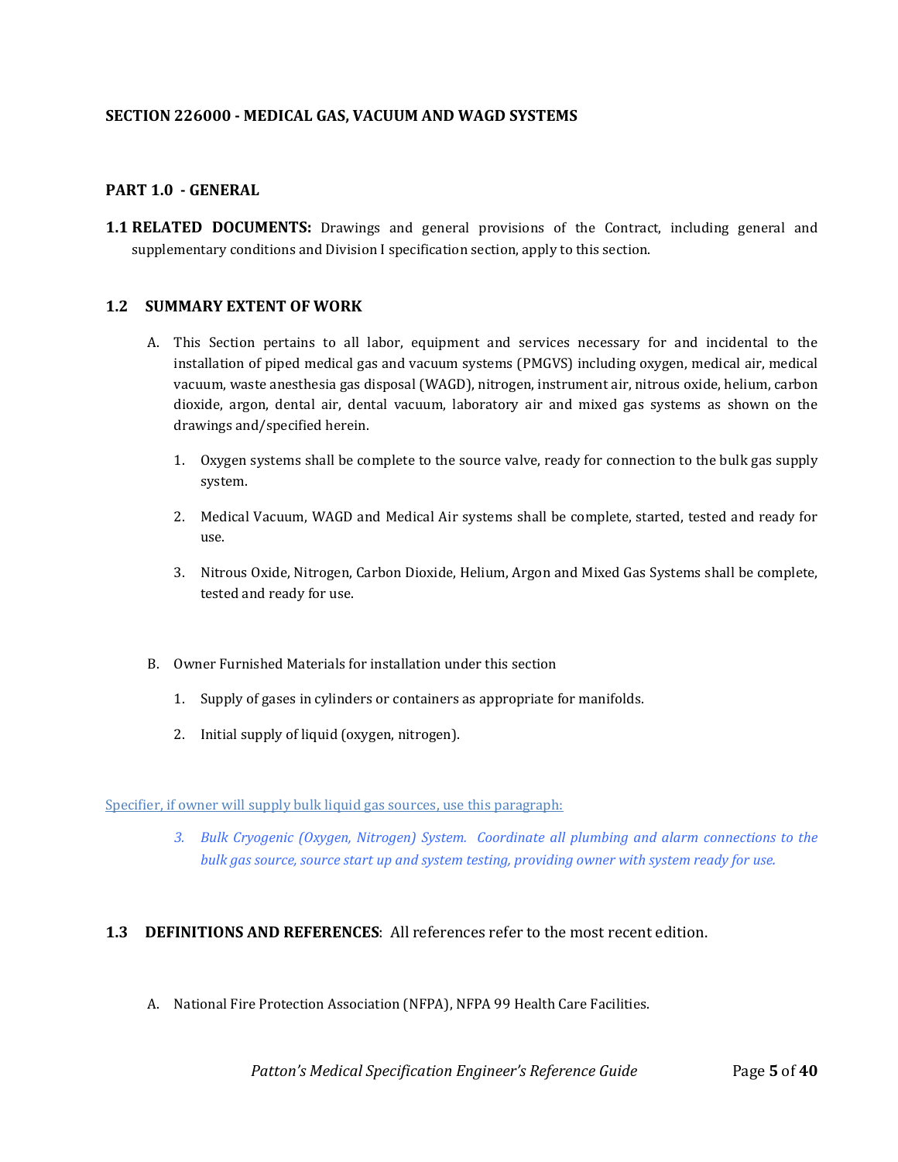#### <span id="page-4-0"></span>**SECTION 226000 - MEDICAL GAS, VACUUM AND WAGD SYSTEMS**

#### <span id="page-4-1"></span>**PART 1.0 - GENERAL**

<span id="page-4-2"></span>**1.1 RELATED DOCUMENTS:** Drawings and general provisions of the Contract, including general and supplementary conditions and Division I specification section, apply to this section.

#### <span id="page-4-3"></span>**1.2 SUMMARY EXTENT OF WORK**

- A. This Section pertains to all labor, equipment and services necessary for and incidental to the installation of piped medical gas and vacuum systems (PMGVS) including oxygen, medical air, medical vacuum, waste anesthesia gas disposal (WAGD), nitrogen, instrument air, nitrous oxide, helium, carbon dioxide, argon, dental air, dental vacuum, laboratory air and mixed gas systems as shown on the drawings and/specified herein.
	- 1. Oxygen systems shall be complete to the source valve, ready for connection to the bulk gas supply system.
	- 2. Medical Vacuum, WAGD and Medical Air systems shall be complete, started, tested and ready for use.
	- 3. Nitrous Oxide, Nitrogen, Carbon Dioxide, Helium, Argon and Mixed Gas Systems shall be complete, tested and ready for use.
- B. Owner Furnished Materials for installation under this section
	- 1. Supply of gases in cylinders or containers as appropriate for manifolds.
	- 2. Initial supply of liquid (oxygen, nitrogen).

#### Specifier, if owner will supply bulk liquid gas sources, use this paragraph:

*3. Bulk Cryogenic (Oxygen, Nitrogen) System. Coordinate all plumbing and alarm connections to the bulk gas source, source start up and system testing, providing owner with system ready for use.* 

#### <span id="page-4-4"></span>**1.3 DEFINITIONS AND REFERENCES**: All references refer to the most recent edition.

A. National Fire Protection Association (NFPA), NFPA 99 Health Care Facilities.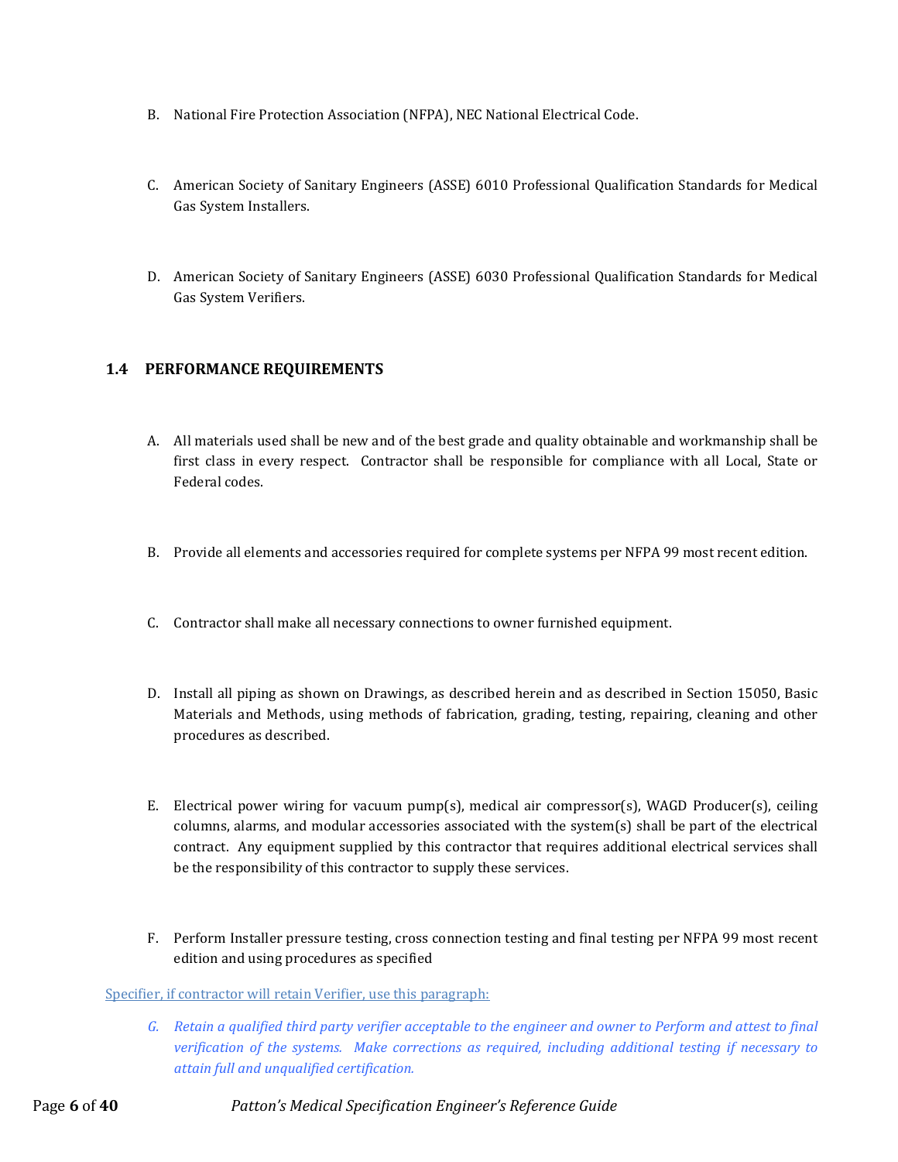- B. National Fire Protection Association (NFPA), NEC National Electrical Code.
- C. American Society of Sanitary Engineers (ASSE) 6010 Professional Qualification Standards for Medical Gas System Installers.
- D. American Society of Sanitary Engineers (ASSE) 6030 Professional Qualification Standards for Medical Gas System Verifiers.

# <span id="page-5-0"></span>**1.4 PERFORMANCE REQUIREMENTS**

- A. All materials used shall be new and of the best grade and quality obtainable and workmanship shall be first class in every respect. Contractor shall be responsible for compliance with all Local, State or Federal codes.
- B. Provide all elements and accessories required for complete systems per NFPA 99 most recent edition.
- C. Contractor shall make all necessary connections to owner furnished equipment.
- D. Install all piping as shown on Drawings, as described herein and as described in Section 15050, Basic Materials and Methods, using methods of fabrication, grading, testing, repairing, cleaning and other procedures as described.
- E. Electrical power wiring for vacuum pump(s), medical air compressor(s), WAGD Producer(s), ceiling columns, alarms, and modular accessories associated with the system(s) shall be part of the electrical contract. Any equipment supplied by this contractor that requires additional electrical services shall be the responsibility of this contractor to supply these services.
- F. Perform Installer pressure testing, cross connection testing and final testing per NFPA 99 most recent edition and using procedures as specified

#### Specifier, if contractor will retain Verifier, use this paragraph:

*G. Retain a qualified third party verifier acceptable to the engineer and owner to Perform and attest to final verification of the systems. Make corrections as required, including additional testing if necessary to attain full and unqualified certification.*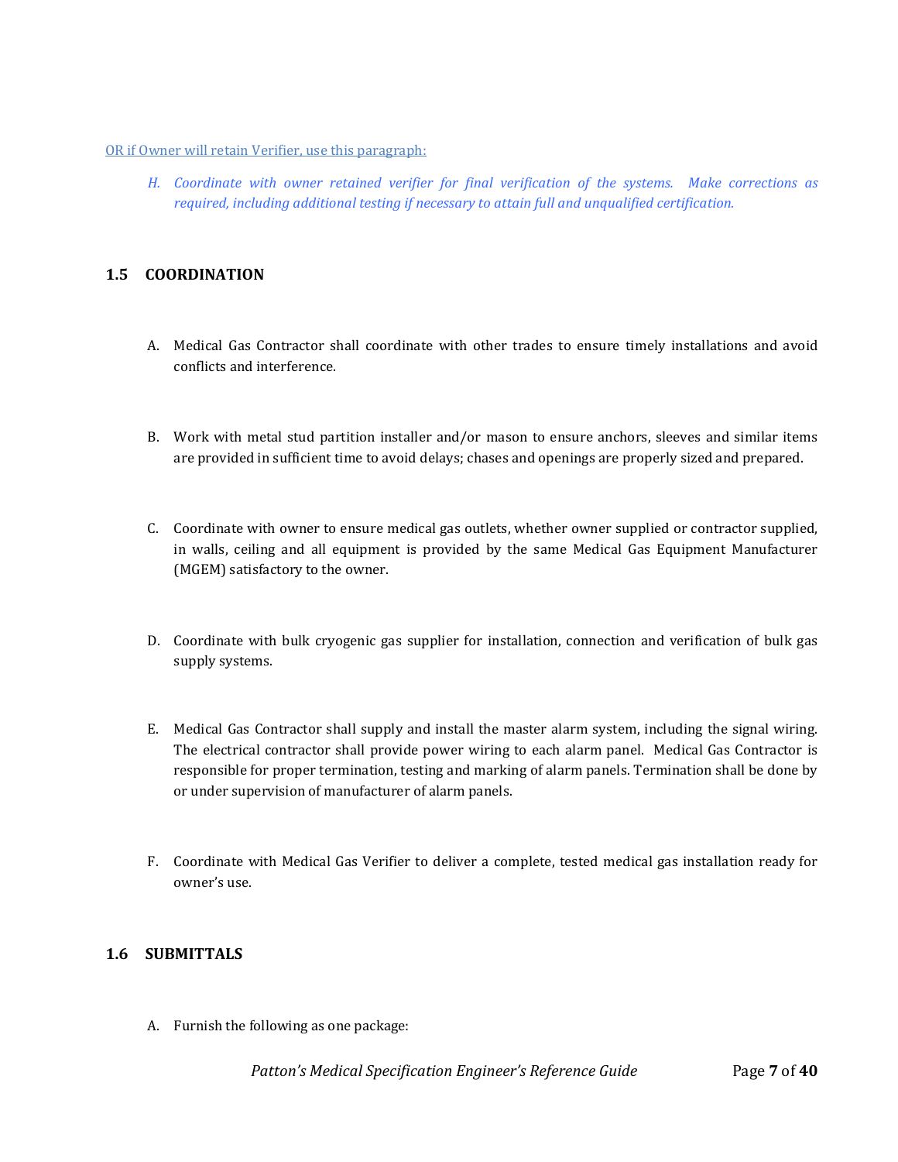#### OR if Owner will retain Verifier, use this paragraph:

*H. Coordinate with owner retained verifier for final verification of the systems. Make corrections as required, including additional testing if necessary to attain full and unqualified certification.*

# <span id="page-6-0"></span>**1.5 COORDINATION**

- A. Medical Gas Contractor shall coordinate with other trades to ensure timely installations and avoid conflicts and interference.
- B. Work with metal stud partition installer and/or mason to ensure anchors, sleeves and similar items are provided in sufficient time to avoid delays; chases and openings are properly sized and prepared.
- C. Coordinate with owner to ensure medical gas outlets, whether owner supplied or contractor supplied, in walls, ceiling and all equipment is provided by the same Medical Gas Equipment Manufacturer (MGEM) satisfactory to the owner.
- D. Coordinate with bulk cryogenic gas supplier for installation, connection and verification of bulk gas supply systems.
- E. Medical Gas Contractor shall supply and install the master alarm system, including the signal wiring. The electrical contractor shall provide power wiring to each alarm panel. Medical Gas Contractor is responsible for proper termination, testing and marking of alarm panels. Termination shall be done by or under supervision of manufacturer of alarm panels.
- F. Coordinate with Medical Gas Verifier to deliver a complete, tested medical gas installation ready for owner's use.

# <span id="page-6-1"></span>**1.6 SUBMITTALS**

A. Furnish the following as one package: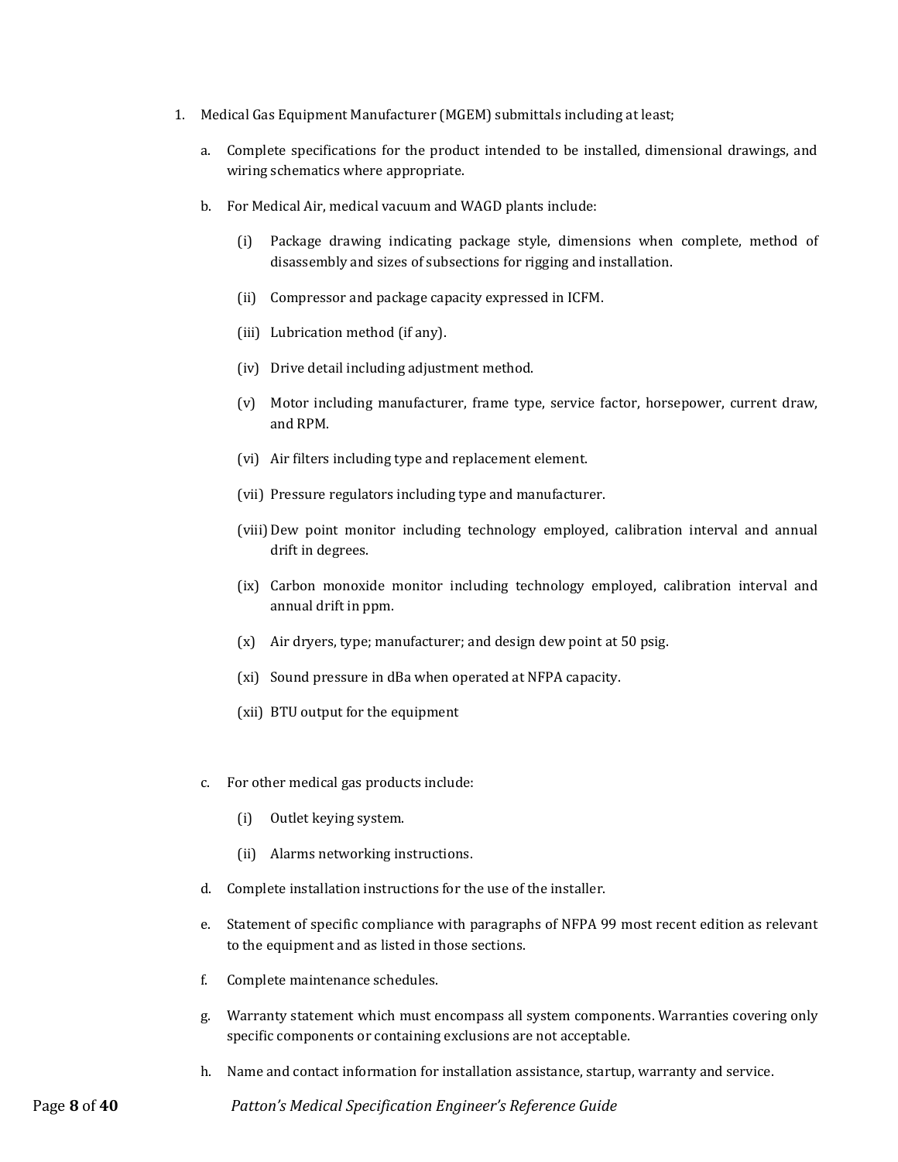- 1. Medical Gas Equipment Manufacturer (MGEM) submittals including at least;
	- a. Complete specifications for the product intended to be installed, dimensional drawings, and wiring schematics where appropriate.
	- b. For Medical Air, medical vacuum and WAGD plants include:
		- (i) Package drawing indicating package style, dimensions when complete, method of disassembly and sizes of subsections for rigging and installation.
		- (ii) Compressor and package capacity expressed in ICFM.
		- (iii) Lubrication method (if any).
		- (iv) Drive detail including adjustment method.
		- (v) Motor including manufacturer, frame type, service factor, horsepower, current draw, and RPM.
		- (vi) Air filters including type and replacement element.
		- (vii) Pressure regulators including type and manufacturer.
		- (viii)Dew point monitor including technology employed, calibration interval and annual drift in degrees.
		- (ix) Carbon monoxide monitor including technology employed, calibration interval and annual drift in ppm.
		- (x) Air dryers, type; manufacturer; and design dew point at 50 psig.
		- (xi) Sound pressure in dBa when operated at NFPA capacity.
		- (xii) BTU output for the equipment
	- c. For other medical gas products include:
		- (i) Outlet keying system.
		- (ii) Alarms networking instructions.
	- d. Complete installation instructions for the use of the installer.
	- e. Statement of specific compliance with paragraphs of NFPA 99 most recent edition as relevant to the equipment and as listed in those sections.
	- f. Complete maintenance schedules.
	- g. Warranty statement which must encompass all system components. Warranties covering only specific components or containing exclusions are not acceptable.
	- h. Name and contact information for installation assistance, startup, warranty and service.

Page **8** of **40** *Patton's Medical Specification Engineer's Reference Guide*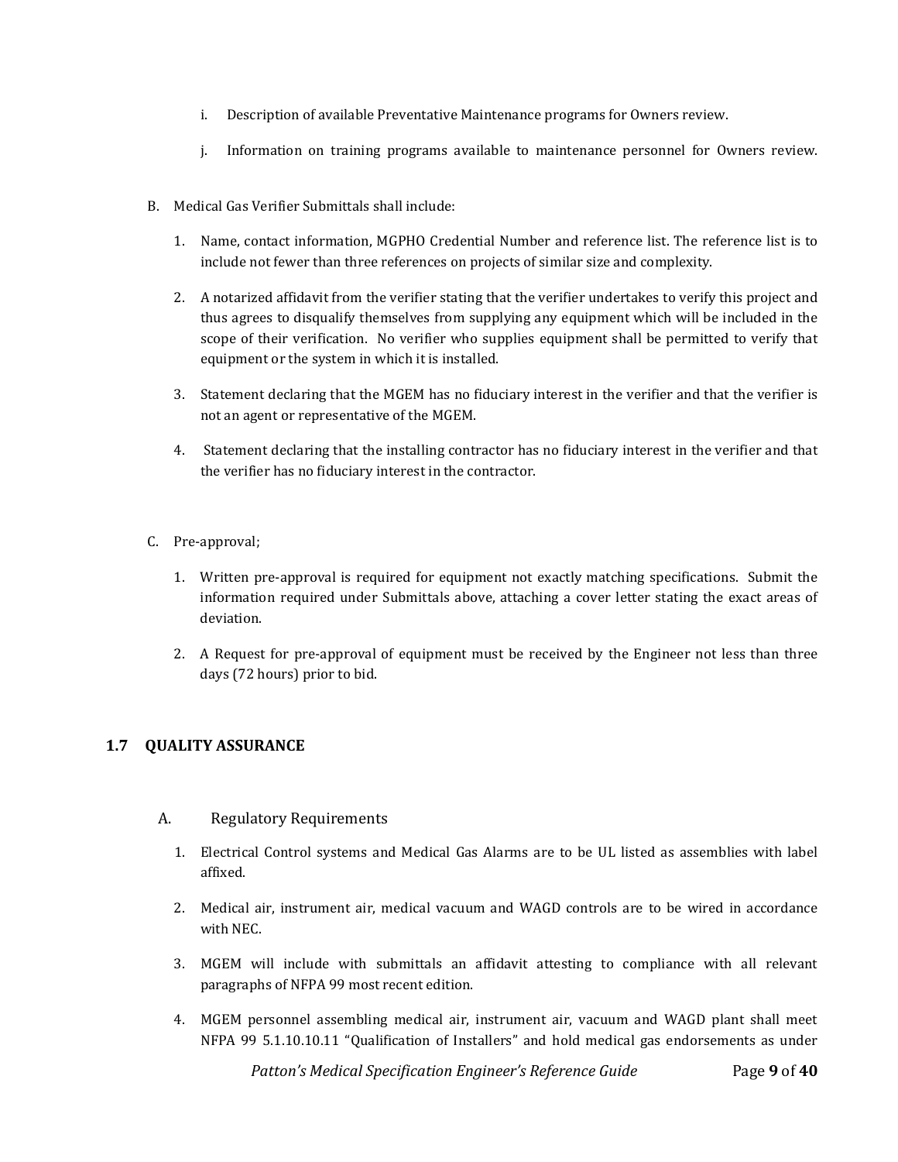- i. Description of available Preventative Maintenance programs for Owners review.
- j. Information on training programs available to maintenance personnel for Owners review.
- B. Medical Gas Verifier Submittals shall include:
	- 1. Name, contact information, MGPHO Credential Number and reference list. The reference list is to include not fewer than three references on projects of similar size and complexity.
	- 2. A notarized affidavit from the verifier stating that the verifier undertakes to verify this project and thus agrees to disqualify themselves from supplying any equipment which will be included in the scope of their verification. No verifier who supplies equipment shall be permitted to verify that equipment or the system in which it is installed.
	- 3. Statement declaring that the MGEM has no fiduciary interest in the verifier and that the verifier is not an agent or representative of the MGEM.
	- 4. Statement declaring that the installing contractor has no fiduciary interest in the verifier and that the verifier has no fiduciary interest in the contractor.
- C. Pre-approval;
	- 1. Written pre-approval is required for equipment not exactly matching specifications. Submit the information required under Submittals above, attaching a cover letter stating the exact areas of deviation.
	- 2. A Request for pre-approval of equipment must be received by the Engineer not less than three days (72 hours) prior to bid.

# <span id="page-8-0"></span>**1.7 QUALITY ASSURANCE**

- A. Regulatory Requirements
	- 1. Electrical Control systems and Medical Gas Alarms are to be UL listed as assemblies with label affixed.
	- 2. Medical air, instrument air, medical vacuum and WAGD controls are to be wired in accordance with NEC.
	- 3. MGEM will include with submittals an affidavit attesting to compliance with all relevant paragraphs of NFPA 99 most recent edition.
	- 4. MGEM personnel assembling medical air, instrument air, vacuum and WAGD plant shall meet NFPA 99 5.1.10.10.11 "Qualification of Installers" and hold medical gas endorsements as under

*Patton's Medical Specification Engineer's Reference Guide* Page 9 of 40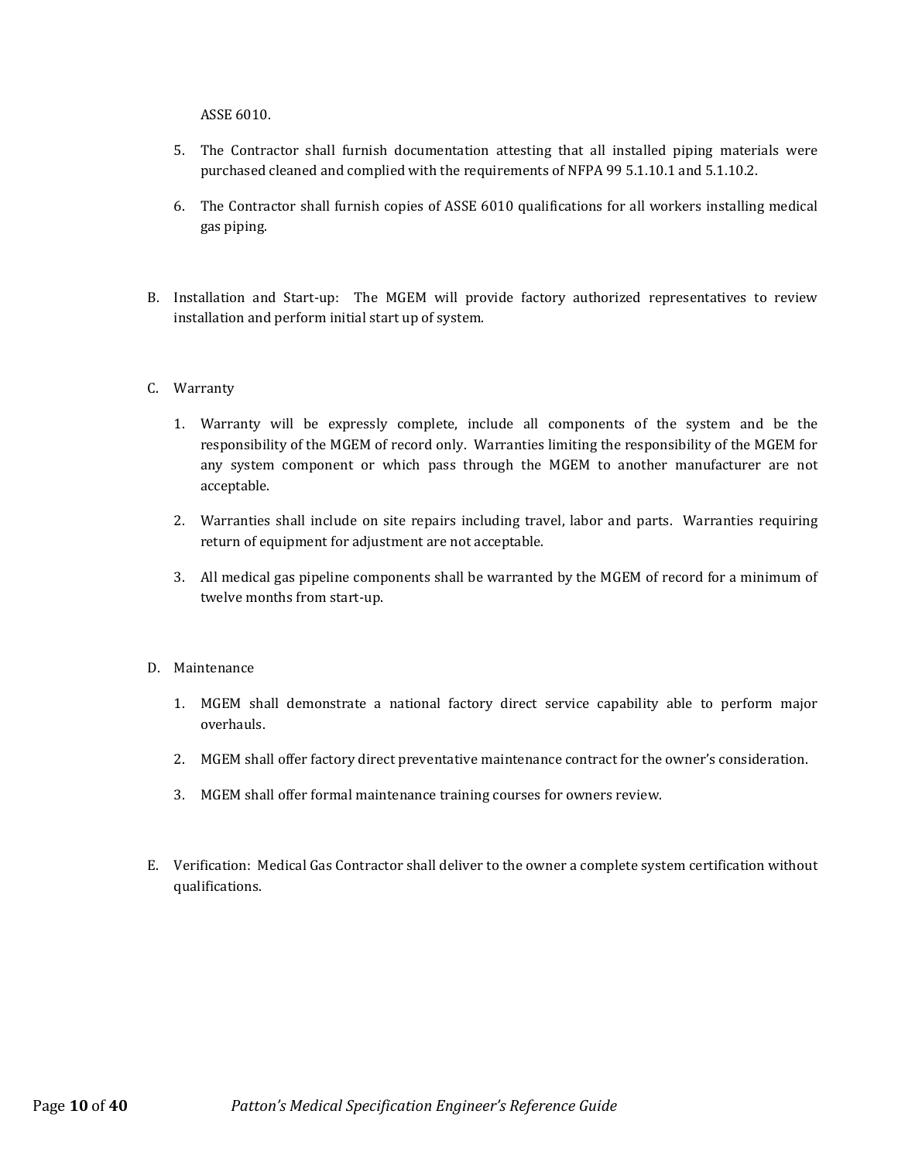ASSE 6010.

- 5. The Contractor shall furnish documentation attesting that all installed piping materials were purchased cleaned and complied with the requirements of NFPA 99 5.1.10.1 and 5.1.10.2.
- 6. The Contractor shall furnish copies of ASSE 6010 qualifications for all workers installing medical gas piping.
- B. Installation and Start-up: The MGEM will provide factory authorized representatives to review installation and perform initial start up of system.

#### C. Warranty

- 1. Warranty will be expressly complete, include all components of the system and be the responsibility of the MGEM of record only. Warranties limiting the responsibility of the MGEM for any system component or which pass through the MGEM to another manufacturer are not acceptable.
- 2. Warranties shall include on site repairs including travel, labor and parts. Warranties requiring return of equipment for adjustment are not acceptable.
- 3. All medical gas pipeline components shall be warranted by the MGEM of record for a minimum of twelve months from start-up.
- D. Maintenance
	- 1. MGEM shall demonstrate a national factory direct service capability able to perform major overhauls.
	- 2. MGEM shall offer factory direct preventative maintenance contract for the owner's consideration.
	- 3. MGEM shall offer formal maintenance training courses for owners review.
- E. Verification: Medical Gas Contractor shall deliver to the owner a complete system certification without qualifications.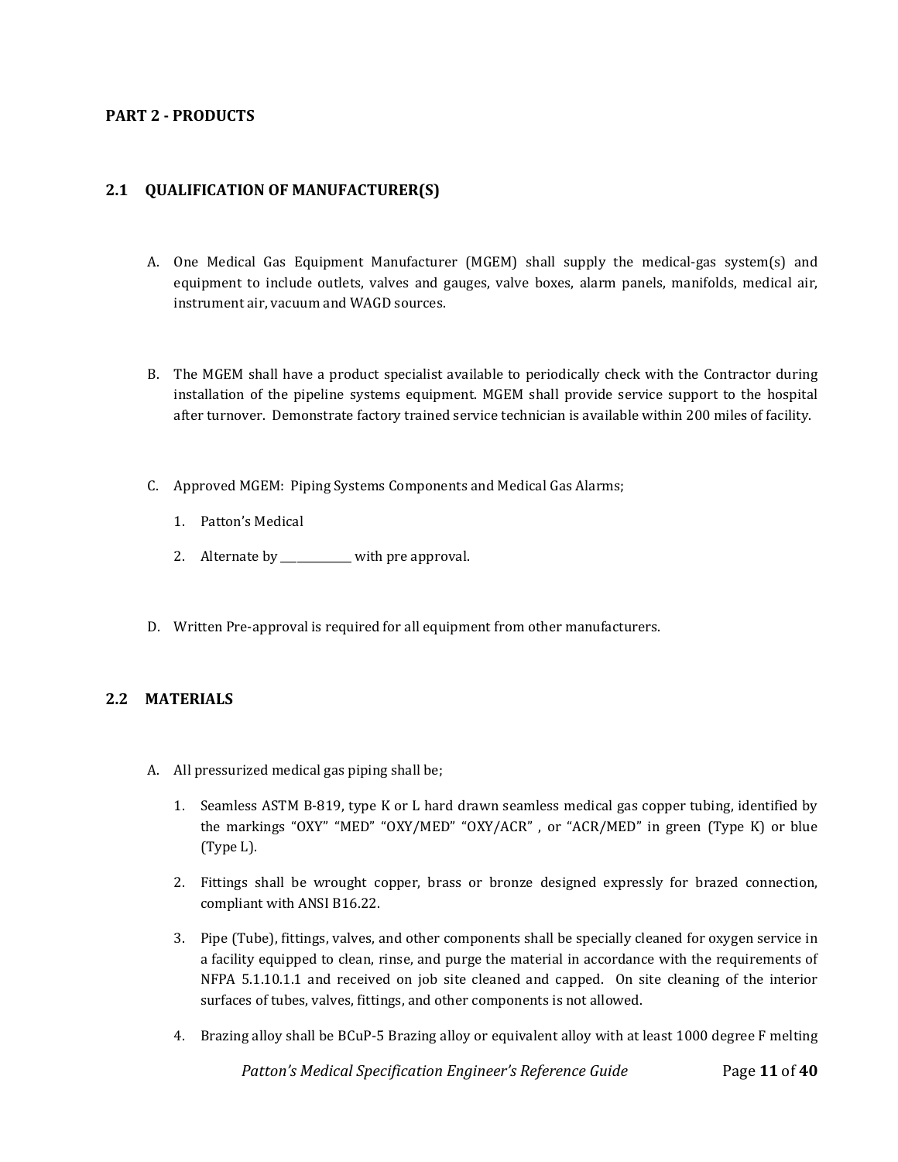#### <span id="page-10-0"></span>**PART 2 - PRODUCTS**

# <span id="page-10-1"></span>**2.1 QUALIFICATION OF MANUFACTURER(S)**

- A. One Medical Gas Equipment Manufacturer (MGEM) shall supply the medical-gas system(s) and equipment to include outlets, valves and gauges, valve boxes, alarm panels, manifolds, medical air, instrument air, vacuum and WAGD sources.
- B. The MGEM shall have a product specialist available to periodically check with the Contractor during installation of the pipeline systems equipment. MGEM shall provide service support to the hospital after turnover. Demonstrate factory trained service technician is available within 200 miles of facility.
- C. Approved MGEM: Piping Systems Components and Medical Gas Alarms;
	- 1. Patton's Medical
	- 2. Alternate by \_\_\_\_\_\_\_\_\_\_\_ with pre approval.
- D. Written Pre-approval is required for all equipment from other manufacturers.

#### <span id="page-10-2"></span>**2.2 MATERIALS**

- A. All pressurized medical gas piping shall be;
	- 1. Seamless ASTM B-819, type K or L hard drawn seamless medical gas copper tubing, identified by the markings "OXY" "MED" "OXY/MED" "OXY/ACR" , or "ACR/MED" in green (Type K) or blue (Type L).
	- 2. Fittings shall be wrought copper, brass or bronze designed expressly for brazed connection, compliant with ANSI B16.22.
	- 3. Pipe (Tube), fittings, valves, and other components shall be specially cleaned for oxygen service in a facility equipped to clean, rinse, and purge the material in accordance with the requirements of NFPA 5.1.10.1.1 and received on job site cleaned and capped. On site cleaning of the interior surfaces of tubes, valves, fittings, and other components is not allowed.
	- 4. Brazing alloy shall be BCuP-5 Brazing alloy or equivalent alloy with at least 1000 degree F melting

 *Patton's Medical Specification Engineer's Reference Guide* Page **11** of **40**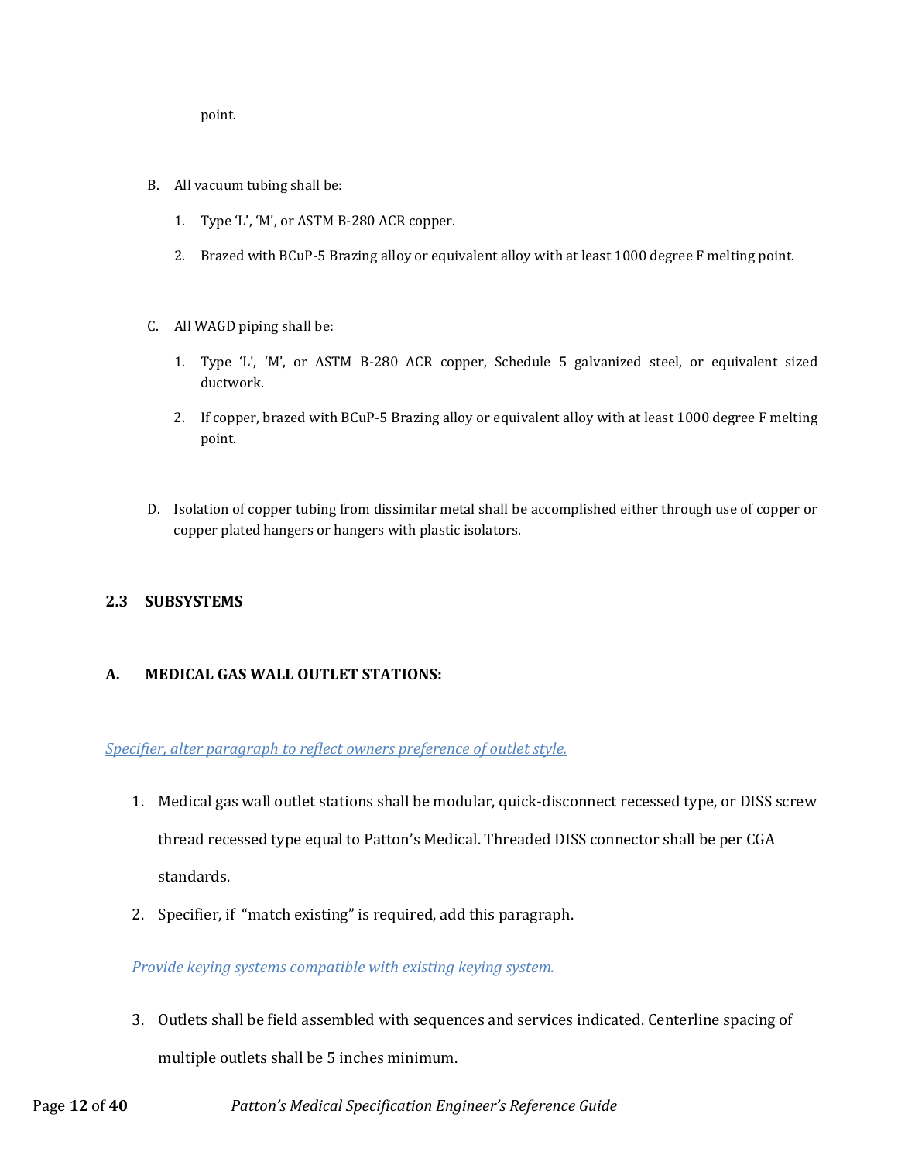point.

- B. All vacuum tubing shall be:
	- 1. Type 'L', 'M', or ASTM B-280 ACR copper.
	- 2. Brazed with BCuP-5 Brazing alloy or equivalent alloy with at least 1000 degree F melting point.
- C. All WAGD piping shall be:
	- 1. Type 'L', 'M', or ASTM B-280 ACR copper, Schedule 5 galvanized steel, or equivalent sized ductwork.
	- 2. If copper, brazed with BCuP-5 Brazing alloy or equivalent alloy with at least 1000 degree F melting point.
- D. Isolation of copper tubing from dissimilar metal shall be accomplished either through use of copper or copper plated hangers or hangers with plastic isolators.

# <span id="page-11-0"></span>**2.3 SUBSYSTEMS**

# <span id="page-11-1"></span>**A. MEDICAL GAS WALL OUTLET STATIONS:**

*Specifier, alter paragraph to reflect owners preference of outlet style.*

- 1. Medical gas wall outlet stations shall be modular, quick-disconnect recessed type, or DISS screw thread recessed type equal to Patton's Medical. Threaded DISS connector shall be per CGA standards.
- 2. Specifier, if "match existing" is required, add this paragraph.

*Provide keying systems compatible with existing keying system.* 

3. Outlets shall be field assembled with sequences and services indicated. Centerline spacing of multiple outlets shall be 5 inches minimum.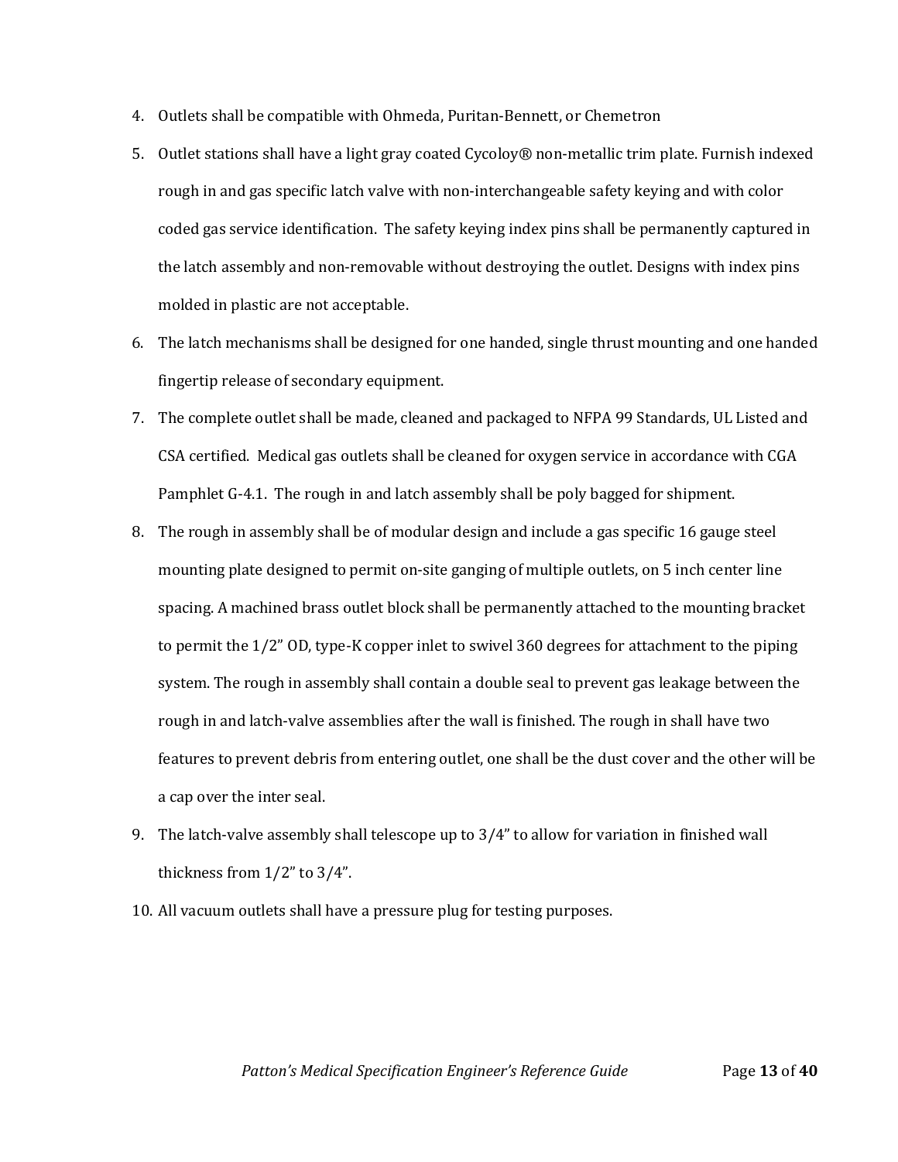- 4. Outlets shall be compatible with Ohmeda, Puritan-Bennett, or Chemetron
- 5. Outlet stations shall have a light gray coated Cycoloy® non-metallic trim plate. Furnish indexed rough in and gas specific latch valve with non-interchangeable safety keying and with color coded gas service identification. The safety keying index pins shall be permanently captured in the latch assembly and non-removable without destroying the outlet. Designs with index pins molded in plastic are not acceptable.
- 6. The latch mechanisms shall be designed for one handed, single thrust mounting and one handed fingertip release of secondary equipment.
- 7. The complete outlet shall be made, cleaned and packaged to NFPA 99 Standards, UL Listed and CSA certified. Medical gas outlets shall be cleaned for oxygen service in accordance with CGA Pamphlet G-4.1. The rough in and latch assembly shall be poly bagged for shipment.
- 8. The rough in assembly shall be of modular design and include a gas specific 16 gauge steel mounting plate designed to permit on-site ganging of multiple outlets, on 5 inch center line spacing. A machined brass outlet block shall be permanently attached to the mounting bracket to permit the 1/2" OD, type-K copper inlet to swivel 360 degrees for attachment to the piping system. The rough in assembly shall contain a double seal to prevent gas leakage between the rough in and latch-valve assemblies after the wall is finished. The rough in shall have two features to prevent debris from entering outlet, one shall be the dust cover and the other will be a cap over the inter seal.
- 9. The latch-valve assembly shall telescope up to 3/4" to allow for variation in finished wall thickness from 1/2" to 3/4".
- 10. All vacuum outlets shall have a pressure plug for testing purposes.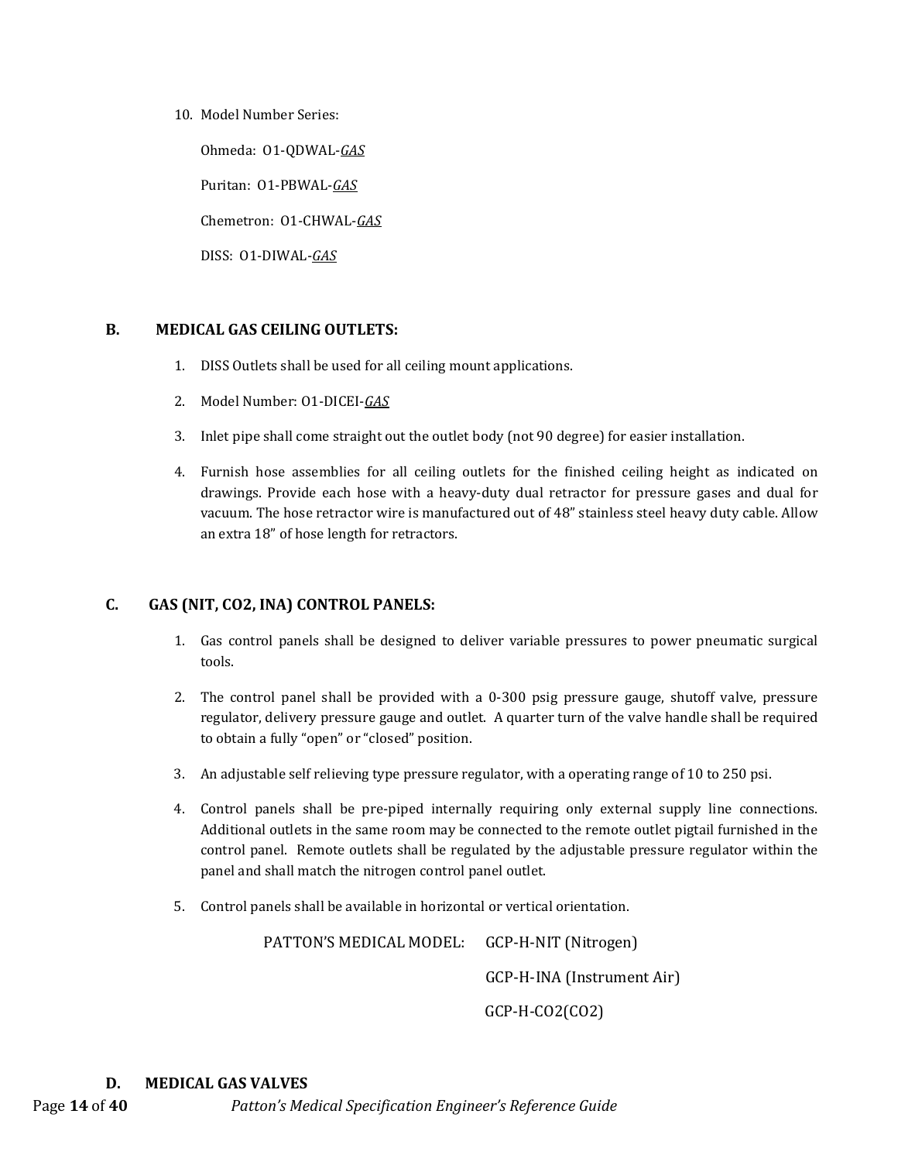10. Model Number Series:

Ohmeda: O1-QDWAL-*GAS*

Puritan: O1-PBWAL-*GAS*

Chemetron: O1-CHWAL-*GAS*

DISS: O1-DIWAL-*GAS*

# <span id="page-13-0"></span>**B. MEDICAL GAS CEILING OUTLETS:**

- 1. DISS Outlets shall be used for all ceiling mount applications.
- 2. Model Number: O1-DICEI-*GAS*
- 3. Inlet pipe shall come straight out the outlet body (not 90 degree) for easier installation.
- 4. Furnish hose assemblies for all ceiling outlets for the finished ceiling height as indicated on drawings. Provide each hose with a heavy-duty dual retractor for pressure gases and dual for vacuum. The hose retractor wire is manufactured out of 48" stainless steel heavy duty cable. Allow an extra 18" of hose length for retractors.

# <span id="page-13-1"></span>**C. GAS (NIT, CO2, INA) CONTROL PANELS:**

- 1. Gas control panels shall be designed to deliver variable pressures to power pneumatic surgical tools.
- 2. The control panel shall be provided with a 0-300 psig pressure gauge, shutoff valve, pressure regulator, delivery pressure gauge and outlet. A quarter turn of the valve handle shall be required to obtain a fully "open" or "closed" position.
- 3. An adjustable self relieving type pressure regulator, with a operating range of 10 to 250 psi.
- 4. Control panels shall be pre-piped internally requiring only external supply line connections. Additional outlets in the same room may be connected to the remote outlet pigtail furnished in the control panel. Remote outlets shall be regulated by the adjustable pressure regulator within the panel and shall match the nitrogen control panel outlet.
- 5. Control panels shall be available in horizontal or vertical orientation.

PATTON'S MEDICAL MODEL: GCP-H-NIT (Nitrogen) GCP-H-INA (Instrument Air) GCP-H-CO2(CO2)

#### <span id="page-13-2"></span>**D. MEDICAL GAS VALVES**

Page **14** of **40** *Patton's Medical Specification Engineer's Reference Guide*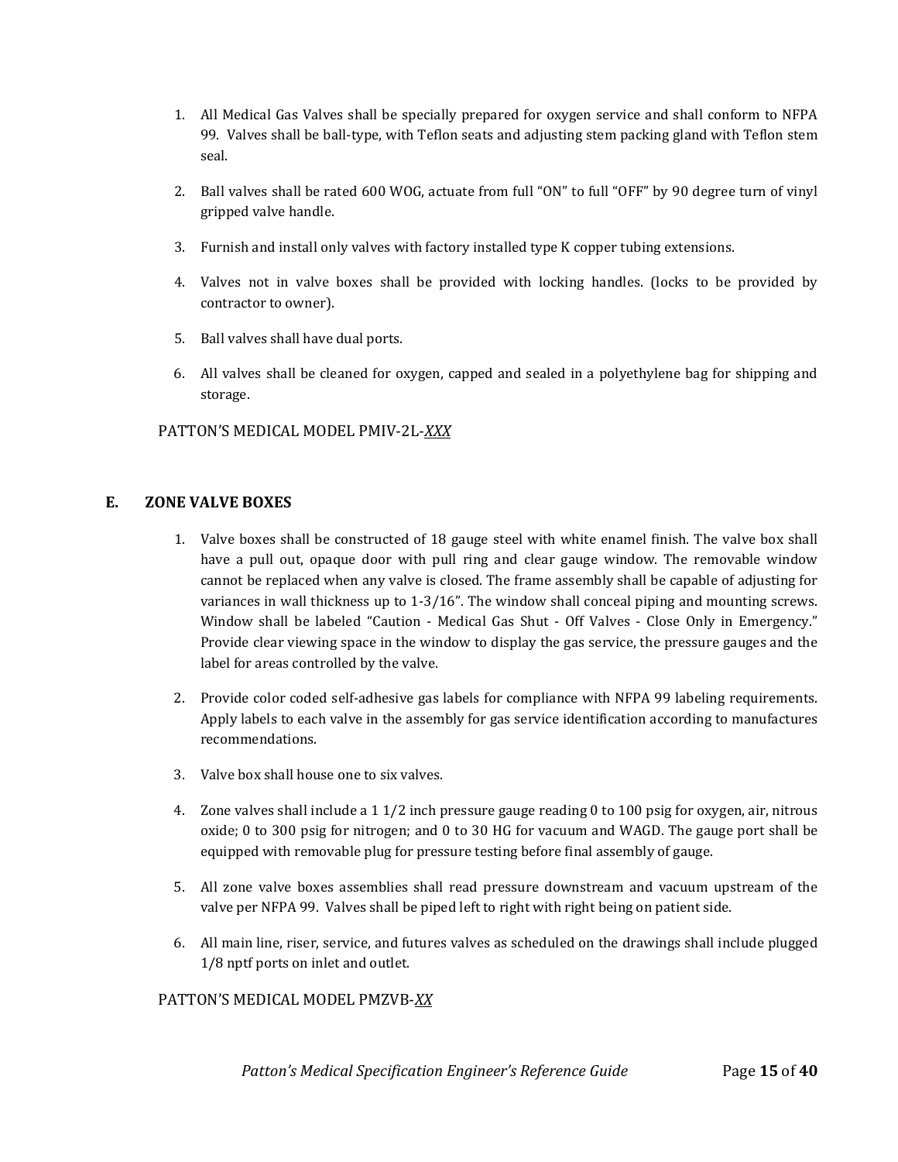- 1. All Medical Gas Valves shall be specially prepared for oxygen service and shall conform to NFPA 99. Valves shall be ball-type, with Teflon seats and adjusting stem packing gland with Teflon stem seal.
- 2. Ball valves shall be rated 600 WOG, actuate from full "ON" to full "OFF" by 90 degree turn of vinyl gripped valve handle.
- 3. Furnish and install only valves with factory installed type K copper tubing extensions.
- 4. Valves not in valve boxes shall be provided with locking handles. (locks to be provided by contractor to owner).
- 5. Ball valves shall have dual ports.
- 6. All valves shall be cleaned for oxygen, capped and sealed in a polyethylene bag for shipping and storage.

# PATTON'S MEDICAL MODEL PMIV-2L-*XXX*

# <span id="page-14-0"></span>**E. ZONE VALVE BOXES**

- 1. Valve boxes shall be constructed of 18 gauge steel with white enamel finish. The valve box shall have a pull out, opaque door with pull ring and clear gauge window. The removable window cannot be replaced when any valve is closed. The frame assembly shall be capable of adjusting for variances in wall thickness up to 1-3/16". The window shall conceal piping and mounting screws. Window shall be labeled "Caution - Medical Gas Shut - Off Valves - Close Only in Emergency." Provide clear viewing space in the window to display the gas service, the pressure gauges and the label for areas controlled by the valve.
- 2. Provide color coded self-adhesive gas labels for compliance with NFPA 99 labeling requirements. Apply labels to each valve in the assembly for gas service identification according to manufactures recommendations.
- 3. Valve box shall house one to six valves.
- 4. Zone valves shall include a 1 1/2 inch pressure gauge reading 0 to 100 psig for oxygen, air, nitrous oxide; 0 to 300 psig for nitrogen; and 0 to 30 HG for vacuum and WAGD. The gauge port shall be equipped with removable plug for pressure testing before final assembly of gauge.
- 5. All zone valve boxes assemblies shall read pressure downstream and vacuum upstream of the valve per NFPA 99. Valves shall be piped left to right with right being on patient side.
- 6. All main line, riser, service, and futures valves as scheduled on the drawings shall include plugged 1/8 nptf ports on inlet and outlet.

#### PATTON'S MEDICAL MODEL PMZVB-*XX*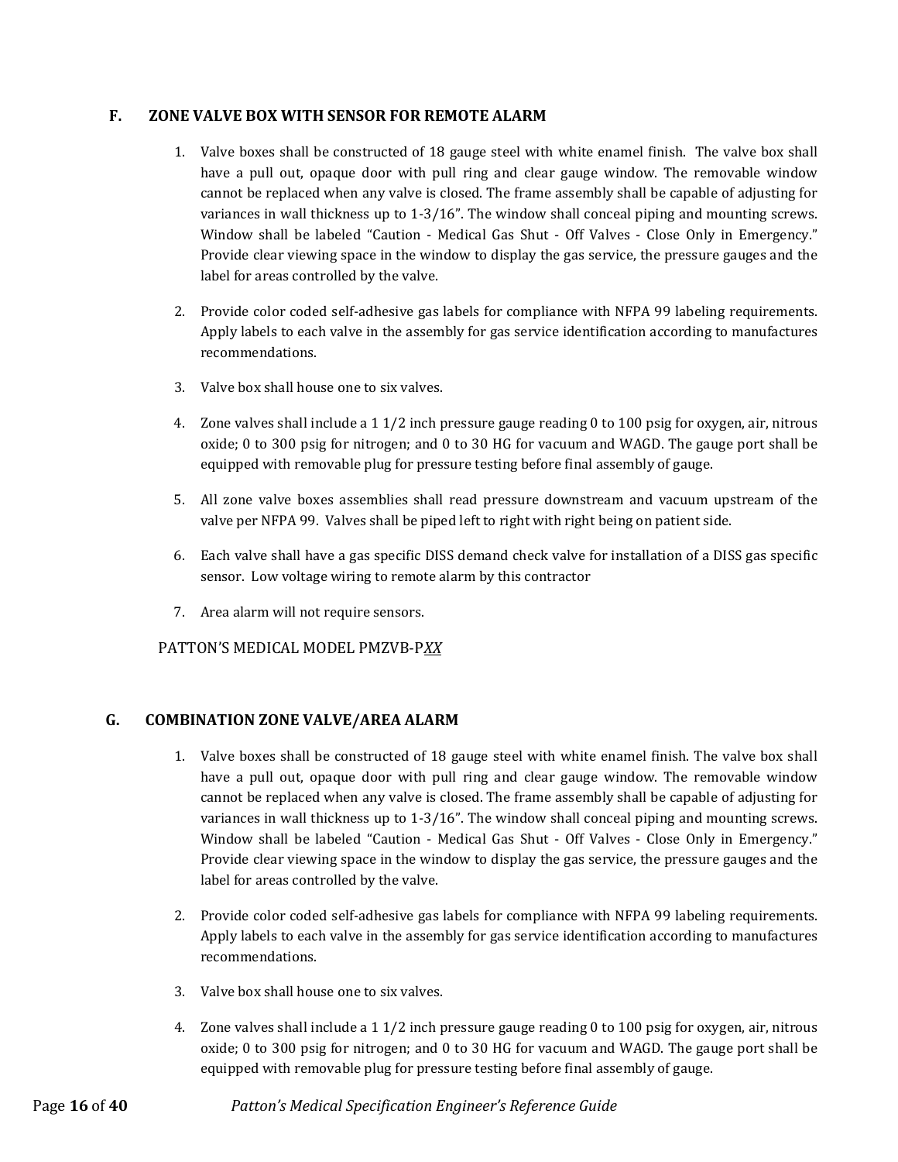#### <span id="page-15-0"></span>**F. ZONE VALVE BOX WITH SENSOR FOR REMOTE ALARM**

- 1. Valve boxes shall be constructed of 18 gauge steel with white enamel finish. The valve box shall have a pull out, opaque door with pull ring and clear gauge window. The removable window cannot be replaced when any valve is closed. The frame assembly shall be capable of adjusting for variances in wall thickness up to 1-3/16". The window shall conceal piping and mounting screws. Window shall be labeled "Caution - Medical Gas Shut - Off Valves - Close Only in Emergency." Provide clear viewing space in the window to display the gas service, the pressure gauges and the label for areas controlled by the valve.
- 2. Provide color coded self-adhesive gas labels for compliance with NFPA 99 labeling requirements. Apply labels to each valve in the assembly for gas service identification according to manufactures recommendations.
- 3. Valve box shall house one to six valves.
- 4. Zone valves shall include a 1 1/2 inch pressure gauge reading 0 to 100 psig for oxygen, air, nitrous oxide; 0 to 300 psig for nitrogen; and 0 to 30 HG for vacuum and WAGD. The gauge port shall be equipped with removable plug for pressure testing before final assembly of gauge.
- 5. All zone valve boxes assemblies shall read pressure downstream and vacuum upstream of the valve per NFPA 99. Valves shall be piped left to right with right being on patient side.
- 6. Each valve shall have a gas specific DISS demand check valve for installation of a DISS gas specific sensor. Low voltage wiring to remote alarm by this contractor
- 7. Area alarm will not require sensors.

# PATTON'S MEDICAL MODEL PMZVB-P*XX*

#### <span id="page-15-1"></span>**G. COMBINATION ZONE VALVE/AREA ALARM**

- 1. Valve boxes shall be constructed of 18 gauge steel with white enamel finish. The valve box shall have a pull out, opaque door with pull ring and clear gauge window. The removable window cannot be replaced when any valve is closed. The frame assembly shall be capable of adjusting for variances in wall thickness up to 1-3/16". The window shall conceal piping and mounting screws. Window shall be labeled "Caution - Medical Gas Shut - Off Valves - Close Only in Emergency." Provide clear viewing space in the window to display the gas service, the pressure gauges and the label for areas controlled by the valve.
- 2. Provide color coded self-adhesive gas labels for compliance with NFPA 99 labeling requirements. Apply labels to each valve in the assembly for gas service identification according to manufactures recommendations.
- 3. Valve box shall house one to six valves.
- 4. Zone valves shall include a 1 1/2 inch pressure gauge reading 0 to 100 psig for oxygen, air, nitrous oxide; 0 to 300 psig for nitrogen; and 0 to 30 HG for vacuum and WAGD. The gauge port shall be equipped with removable plug for pressure testing before final assembly of gauge.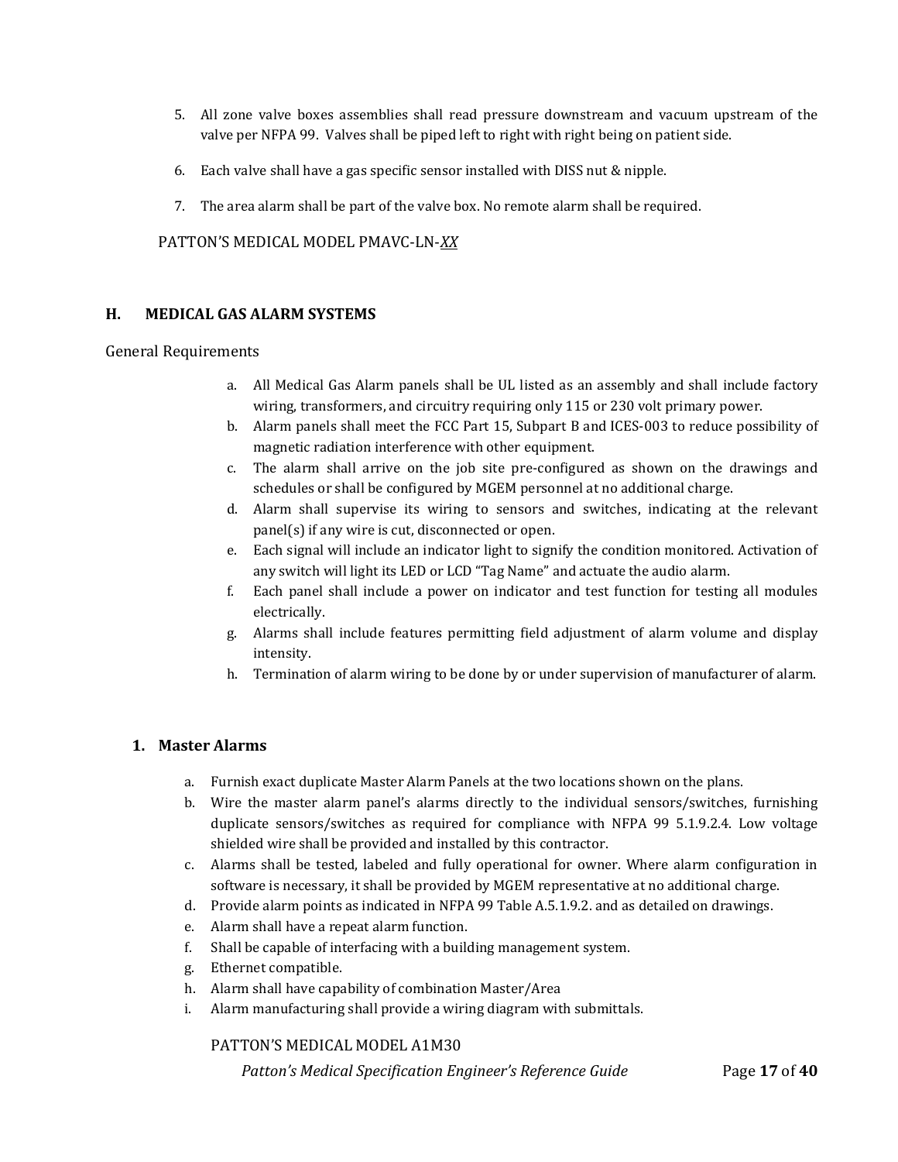- 5. All zone valve boxes assemblies shall read pressure downstream and vacuum upstream of the valve per NFPA 99. Valves shall be piped left to right with right being on patient side.
- 6. Each valve shall have a gas specific sensor installed with DISS nut & nipple.
- 7. The area alarm shall be part of the valve box. No remote alarm shall be required.

PATTON'S MEDICAL MODEL PMAVC-LN-*XX*

#### <span id="page-16-0"></span>**H. MEDICAL GAS ALARM SYSTEMS**

#### General Requirements

- a. All Medical Gas Alarm panels shall be UL listed as an assembly and shall include factory wiring, transformers, and circuitry requiring only 115 or 230 volt primary power.
- b. Alarm panels shall meet the FCC Part 15, Subpart B and ICES-003 to reduce possibility of magnetic radiation interference with other equipment.
- c. The alarm shall arrive on the job site pre-configured as shown on the drawings and schedules or shall be configured by MGEM personnel at no additional charge.
- d. Alarm shall supervise its wiring to sensors and switches, indicating at the relevant panel(s) if any wire is cut, disconnected or open.
- e. Each signal will include an indicator light to signify the condition monitored. Activation of any switch will light its LED or LCD "Tag Name" and actuate the audio alarm.
- f. Each panel shall include a power on indicator and test function for testing all modules electrically.
- g. Alarms shall include features permitting field adjustment of alarm volume and display intensity.
- h. Termination of alarm wiring to be done by or under supervision of manufacturer of alarm.

#### <span id="page-16-1"></span>**1. Master Alarms**

- a. Furnish exact duplicate Master Alarm Panels at the two locations shown on the plans.
- b. Wire the master alarm panel's alarms directly to the individual sensors/switches, furnishing duplicate sensors/switches as required for compliance with NFPA 99 5.1.9.2.4. Low voltage shielded wire shall be provided and installed by this contractor.
- c. Alarms shall be tested, labeled and fully operational for owner. Where alarm configuration in software is necessary, it shall be provided by MGEM representative at no additional charge.
- d. Provide alarm points as indicated in NFPA 99 Table A.5.1.9.2. and as detailed on drawings.
- e. Alarm shall have a repeat alarm function.
- f. Shall be capable of interfacing with a building management system.
- g. Ethernet compatible.
- h. Alarm shall have capability of combination Master/Area
- i. Alarm manufacturing shall provide a wiring diagram with submittals.

PATTON'S MEDICAL MODEL A1M30

 *Patton's Medical Specification Engineer's Reference Guide* Page **17** of **40**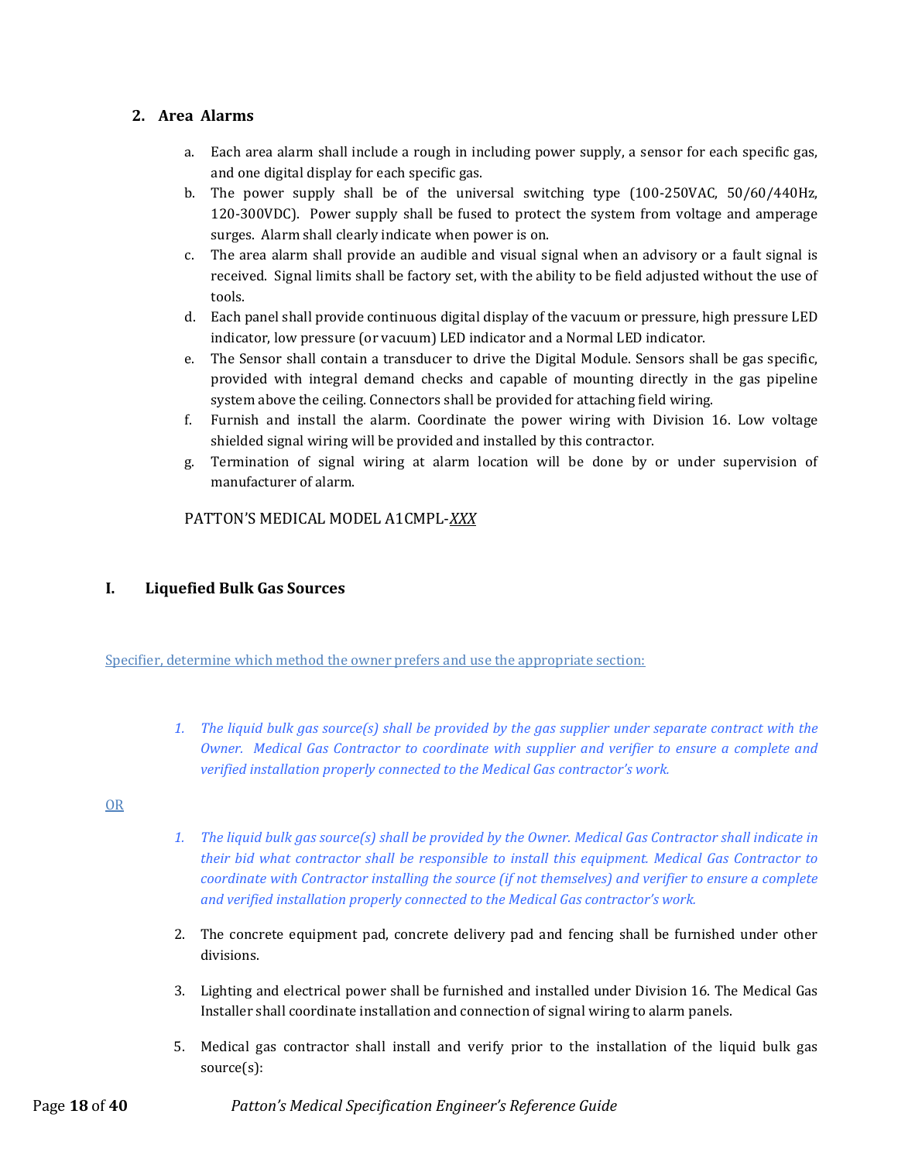# <span id="page-17-0"></span>**2. Area Alarms**

- a. Each area alarm shall include a rough in including power supply, a sensor for each specific gas, and one digital display for each specific gas.
- b. The power supply shall be of the universal switching type (100-250VAC, 50/60/440Hz, 120-300VDC). Power supply shall be fused to protect the system from voltage and amperage surges. Alarm shall clearly indicate when power is on.
- c. The area alarm shall provide an audible and visual signal when an advisory or a fault signal is received. Signal limits shall be factory set, with the ability to be field adjusted without the use of tools.
- d. Each panel shall provide continuous digital display of the vacuum or pressure, high pressure LED indicator, low pressure (or vacuum) LED indicator and a Normal LED indicator.
- e. The Sensor shall contain a transducer to drive the Digital Module. Sensors shall be gas specific, provided with integral demand checks and capable of mounting directly in the gas pipeline system above the ceiling. Connectors shall be provided for attaching field wiring.
- f. Furnish and install the alarm. Coordinate the power wiring with Division 16. Low voltage shielded signal wiring will be provided and installed by this contractor.
- g. Termination of signal wiring at alarm location will be done by or under supervision of manufacturer of alarm.

PATTON'S MEDICAL MODEL A1CMPL-*XXX*

# <span id="page-17-1"></span>**I. Liquefied Bulk Gas Sources**

Specifier, determine which method the owner prefers and use the appropriate section:

*1. The liquid bulk gas source(s) shall be provided by the gas supplier under separate contract with the Owner. Medical Gas Contractor to coordinate with supplier and verifier to ensure a complete and verified installation properly connected to the Medical Gas contractor's work.*

OR

- *1. The liquid bulk gas source(s) shall be provided by the Owner. Medical Gas Contractor shall indicate in their bid what contractor shall be responsible to install this equipment. Medical Gas Contractor to coordinate with Contractor installing the source (if not themselves) and verifier to ensure a complete and verified installation properly connected to the Medical Gas contractor's work.*
- 2. The concrete equipment pad, concrete delivery pad and fencing shall be furnished under other divisions.
- 3. Lighting and electrical power shall be furnished and installed under Division 16. The Medical Gas Installer shall coordinate installation and connection of signal wiring to alarm panels.
- 5. Medical gas contractor shall install and verify prior to the installation of the liquid bulk gas source(s):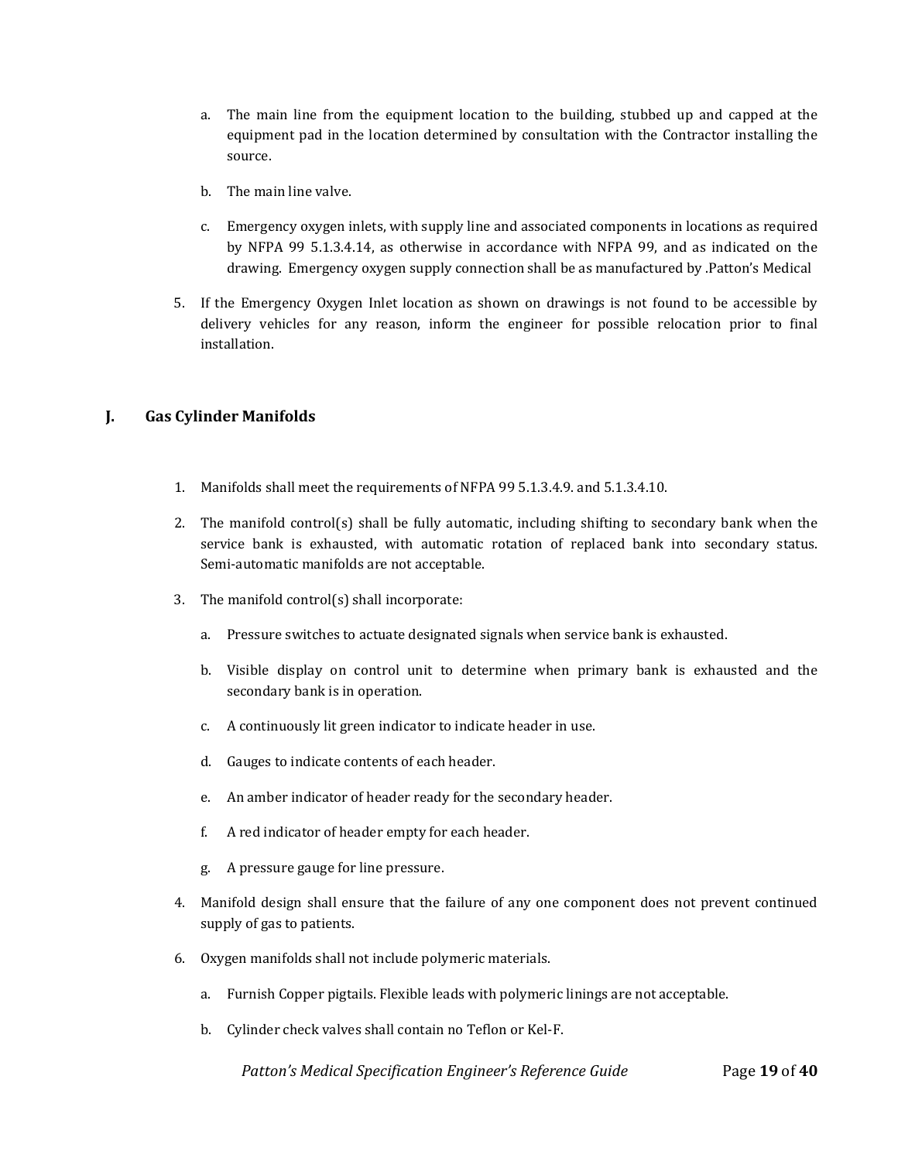- a. The main line from the equipment location to the building, stubbed up and capped at the equipment pad in the location determined by consultation with the Contractor installing the source.
- b. The main line valve.
- c. Emergency oxygen inlets, with supply line and associated components in locations as required by NFPA 99 5.1.3.4.14, as otherwise in accordance with NFPA 99, and as indicated on the drawing. Emergency oxygen supply connection shall be as manufactured by .Patton's Medical
- 5. If the Emergency Oxygen Inlet location as shown on drawings is not found to be accessible by delivery vehicles for any reason, inform the engineer for possible relocation prior to final installation.

# <span id="page-18-0"></span>**J. Gas Cylinder Manifolds**

- 1. Manifolds shall meet the requirements of NFPA 99 5.1.3.4.9. and 5.1.3.4.10.
- 2. The manifold control(s) shall be fully automatic, including shifting to secondary bank when the service bank is exhausted, with automatic rotation of replaced bank into secondary status. Semi-automatic manifolds are not acceptable.
- 3. The manifold control(s) shall incorporate:
	- a. Pressure switches to actuate designated signals when service bank is exhausted.
	- b. Visible display on control unit to determine when primary bank is exhausted and the secondary bank is in operation.
	- c. A continuously lit green indicator to indicate header in use.
	- d. Gauges to indicate contents of each header.
	- e. An amber indicator of header ready for the secondary header.
	- f. A red indicator of header empty for each header.
	- g. A pressure gauge for line pressure.
- 4. Manifold design shall ensure that the failure of any one component does not prevent continued supply of gas to patients.
- 6. Oxygen manifolds shall not include polymeric materials.
	- a. Furnish Copper pigtails. Flexible leads with polymeric linings are not acceptable.
	- b. Cylinder check valves shall contain no Teflon or Kel-F.

 *Patton's Medical Specification Engineer's Reference Guide* Page **19** of **40**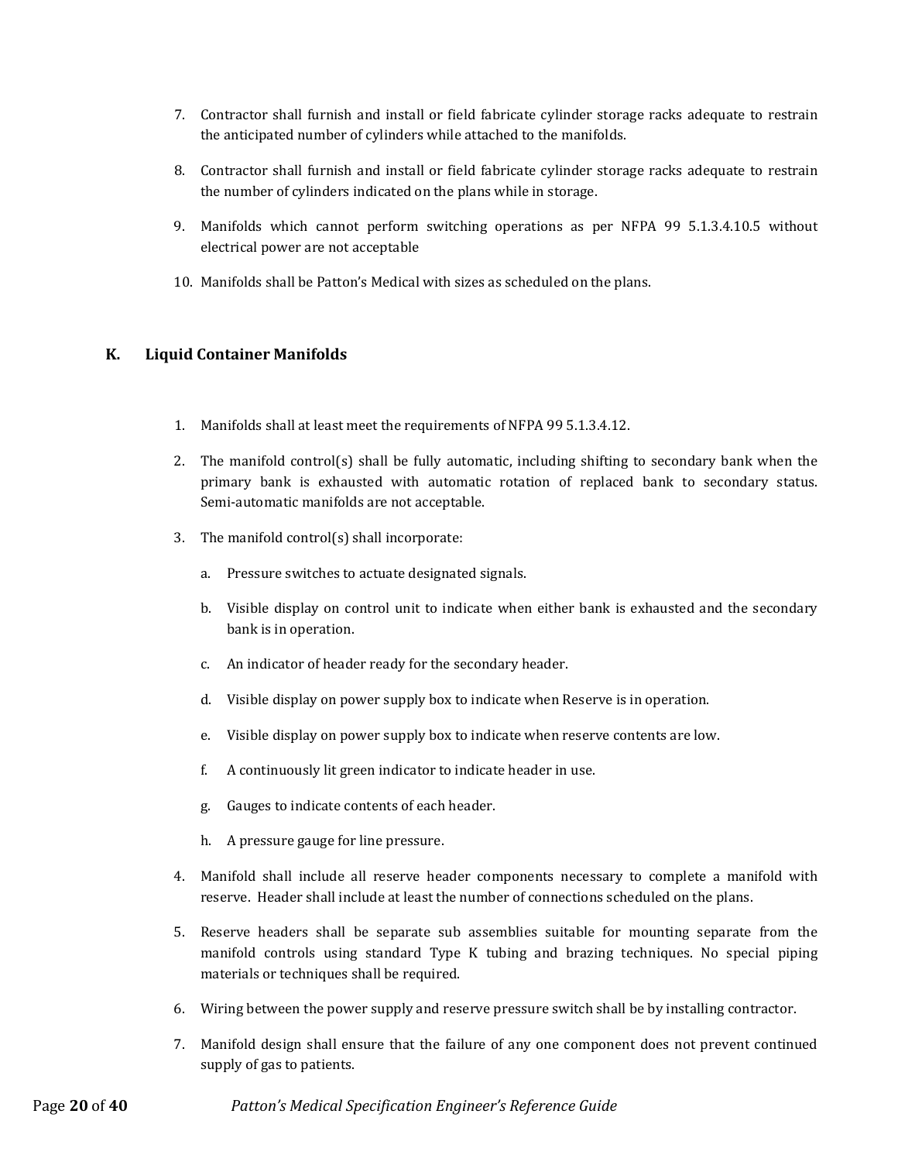- 7. Contractor shall furnish and install or field fabricate cylinder storage racks adequate to restrain the anticipated number of cylinders while attached to the manifolds.
- 8. Contractor shall furnish and install or field fabricate cylinder storage racks adequate to restrain the number of cylinders indicated on the plans while in storage.
- 9. Manifolds which cannot perform switching operations as per NFPA 99 5.1.3.4.10.5 without electrical power are not acceptable
- 10. Manifolds shall be Patton's Medical with sizes as scheduled on the plans.

# <span id="page-19-0"></span>**K. Liquid Container Manifolds**

- 1. Manifolds shall at least meet the requirements of NFPA 99 5.1.3.4.12.
- 2. The manifold control(s) shall be fully automatic, including shifting to secondary bank when the primary bank is exhausted with automatic rotation of replaced bank to secondary status. Semi-automatic manifolds are not acceptable.
- 3. The manifold control(s) shall incorporate:
	- a. Pressure switches to actuate designated signals.
	- b. Visible display on control unit to indicate when either bank is exhausted and the secondary bank is in operation.
	- c. An indicator of header ready for the secondary header.
	- d. Visible display on power supply box to indicate when Reserve is in operation.
	- e. Visible display on power supply box to indicate when reserve contents are low.
	- f. A continuously lit green indicator to indicate header in use.
	- g. Gauges to indicate contents of each header.
	- h. A pressure gauge for line pressure.
- 4. Manifold shall include all reserve header components necessary to complete a manifold with reserve. Header shall include at least the number of connections scheduled on the plans.
- 5. Reserve headers shall be separate sub assemblies suitable for mounting separate from the manifold controls using standard Type K tubing and brazing techniques. No special piping materials or techniques shall be required.
- 6. Wiring between the power supply and reserve pressure switch shall be by installing contractor.
- 7. Manifold design shall ensure that the failure of any one component does not prevent continued supply of gas to patients.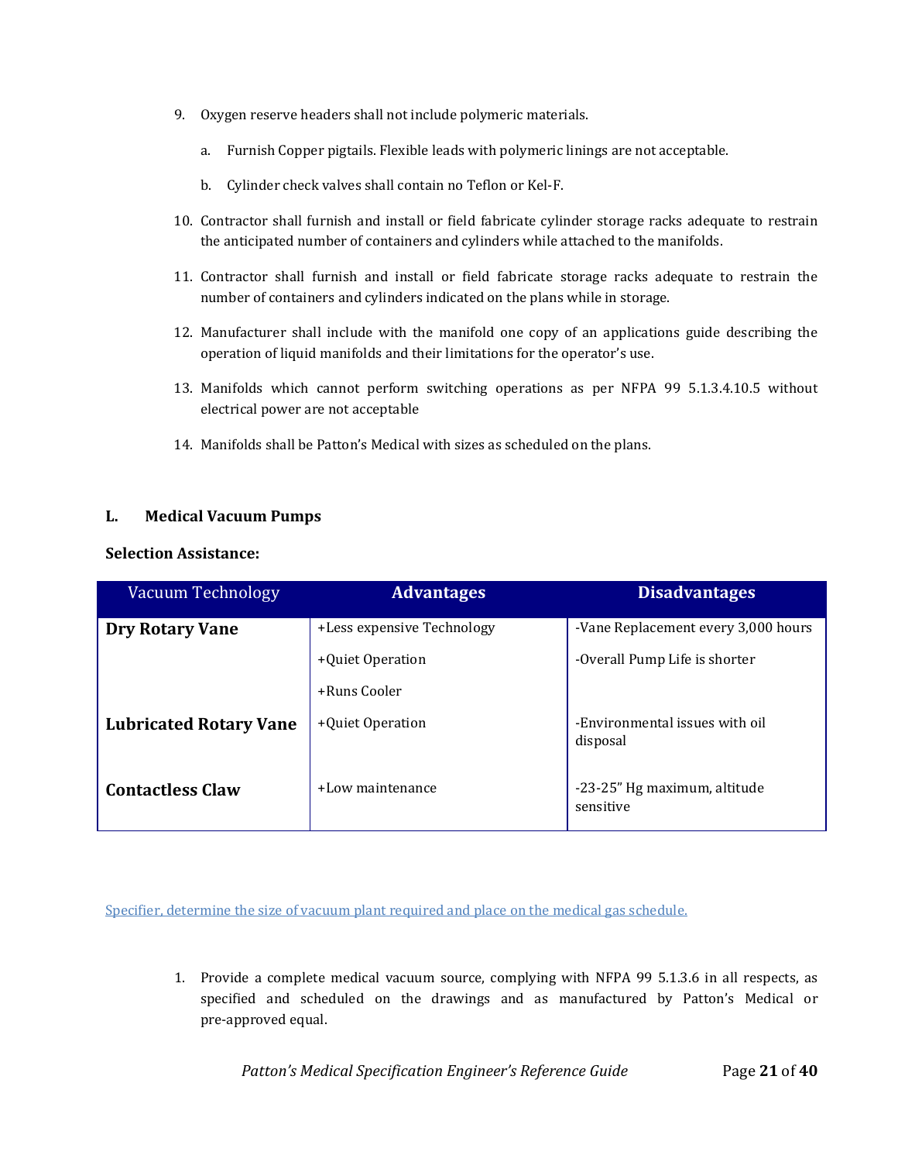- 9. Oxygen reserve headers shall not include polymeric materials.
	- a. Furnish Copper pigtails. Flexible leads with polymeric linings are not acceptable.
	- b. Cylinder check valves shall contain no Teflon or Kel-F.
- 10. Contractor shall furnish and install or field fabricate cylinder storage racks adequate to restrain the anticipated number of containers and cylinders while attached to the manifolds.
- 11. Contractor shall furnish and install or field fabricate storage racks adequate to restrain the number of containers and cylinders indicated on the plans while in storage.
- 12. Manufacturer shall include with the manifold one copy of an applications guide describing the operation of liquid manifolds and their limitations for the operator's use.
- 13. Manifolds which cannot perform switching operations as per NFPA 99 5.1.3.4.10.5 without electrical power are not acceptable
- 14. Manifolds shall be Patton's Medical with sizes as scheduled on the plans.

# <span id="page-20-0"></span>**L. Medical Vacuum Pumps**

#### <span id="page-20-1"></span>**Selection Assistance:**

| Vacuum Technology             | <b>Advantages</b>          | <b>Disadvantages</b>                       |
|-------------------------------|----------------------------|--------------------------------------------|
| <b>Dry Rotary Vane</b>        | +Less expensive Technology | -Vane Replacement every 3,000 hours        |
|                               | +Quiet Operation           | -Overall Pump Life is shorter              |
|                               | +Runs Cooler               |                                            |
| <b>Lubricated Rotary Vane</b> | +Quiet Operation           | -Environmental issues with oil<br>disposal |
| <b>Contactless Claw</b>       | +Low maintenance           | -23-25" Hg maximum, altitude<br>sensitive  |

Specifier, determine the size of vacuum plant required and place on the medical gas schedule.

1. Provide a complete medical vacuum source, complying with NFPA 99 5.1.3.6 in all respects, as specified and scheduled on the drawings and as manufactured by Patton's Medical or pre-approved equal.

*Patton's Medical Specification Engineer's Reference Guide* Page 21 of 40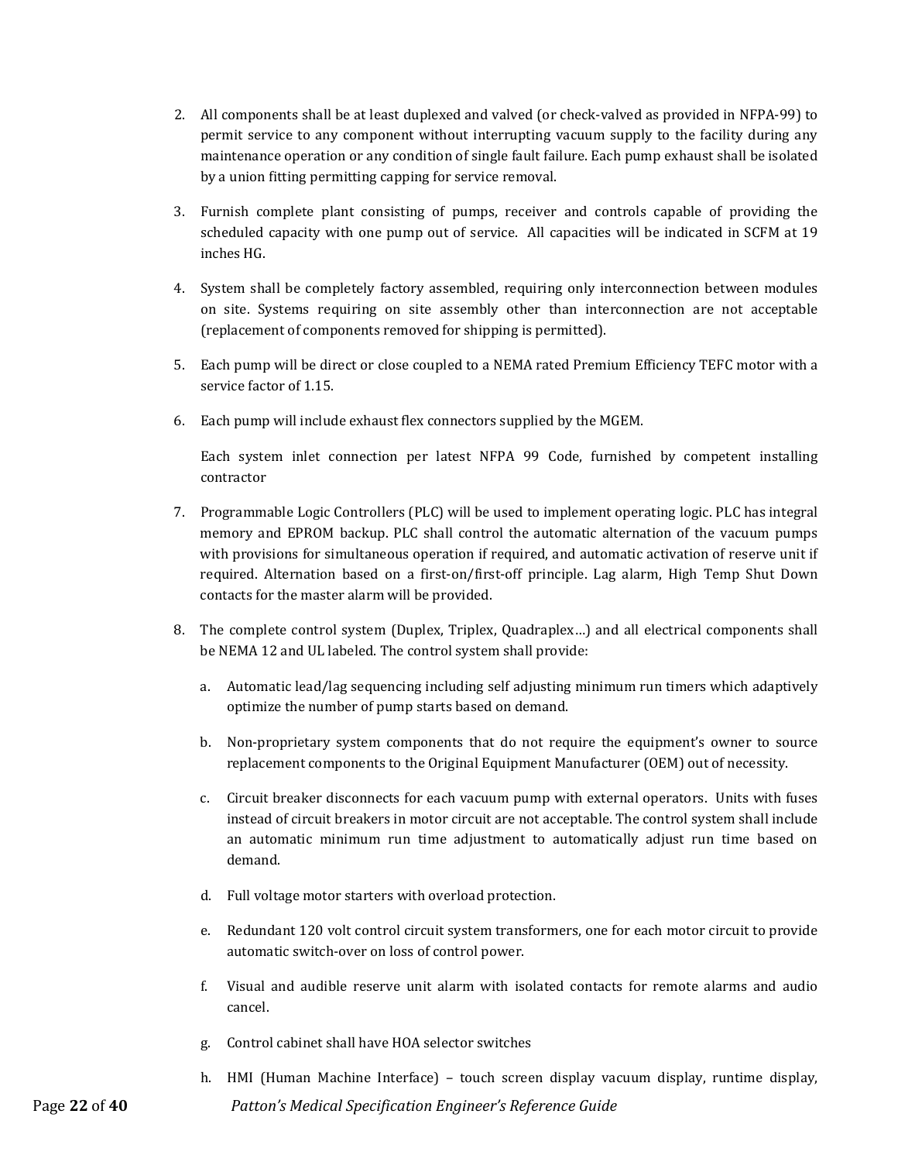- 2. All components shall be at least duplexed and valved (or check-valved as provided in NFPA-99) to permit service to any component without interrupting vacuum supply to the facility during any maintenance operation or any condition of single fault failure. Each pump exhaust shall be isolated by a union fitting permitting capping for service removal.
- 3. Furnish complete plant consisting of pumps, receiver and controls capable of providing the scheduled capacity with one pump out of service. All capacities will be indicated in SCFM at 19 inches HG.
- 4. System shall be completely factory assembled, requiring only interconnection between modules on site. Systems requiring on site assembly other than interconnection are not acceptable (replacement of components removed for shipping is permitted).
- 5. Each pump will be direct or close coupled to a NEMA rated Premium Efficiency TEFC motor with a service factor of 1.15.
- 6. Each pump will include exhaust flex connectors supplied by the MGEM.

Each system inlet connection per latest NFPA 99 Code, furnished by competent installing contractor

- 7. Programmable Logic Controllers (PLC) will be used to implement operating logic. PLC has integral memory and EPROM backup. PLC shall control the automatic alternation of the vacuum pumps with provisions for simultaneous operation if required, and automatic activation of reserve unit if required. Alternation based on a first-on/first-off principle. Lag alarm, High Temp Shut Down contacts for the master alarm will be provided.
- 8. The complete control system (Duplex, Triplex, Quadraplex…) and all electrical components shall be NEMA 12 and UL labeled. The control system shall provide:
	- a. Automatic lead/lag sequencing including self adjusting minimum run timers which adaptively optimize the number of pump starts based on demand.
	- b. Non-proprietary system components that do not require the equipment's owner to source replacement components to the Original Equipment Manufacturer (OEM) out of necessity.
	- c. Circuit breaker disconnects for each vacuum pump with external operators. Units with fuses instead of circuit breakers in motor circuit are not acceptable. The control system shall include an automatic minimum run time adjustment to automatically adjust run time based on demand.
	- d. Full voltage motor starters with overload protection.
	- e. Redundant 120 volt control circuit system transformers, one for each motor circuit to provide automatic switch-over on loss of control power.
	- f. Visual and audible reserve unit alarm with isolated contacts for remote alarms and audio cancel.
	- g. Control cabinet shall have HOA selector switches
- Page **22** of **40** *Patton's Medical Specification Engineer's Reference Guide* h. HMI (Human Machine Interface) – touch screen display vacuum display, runtime display,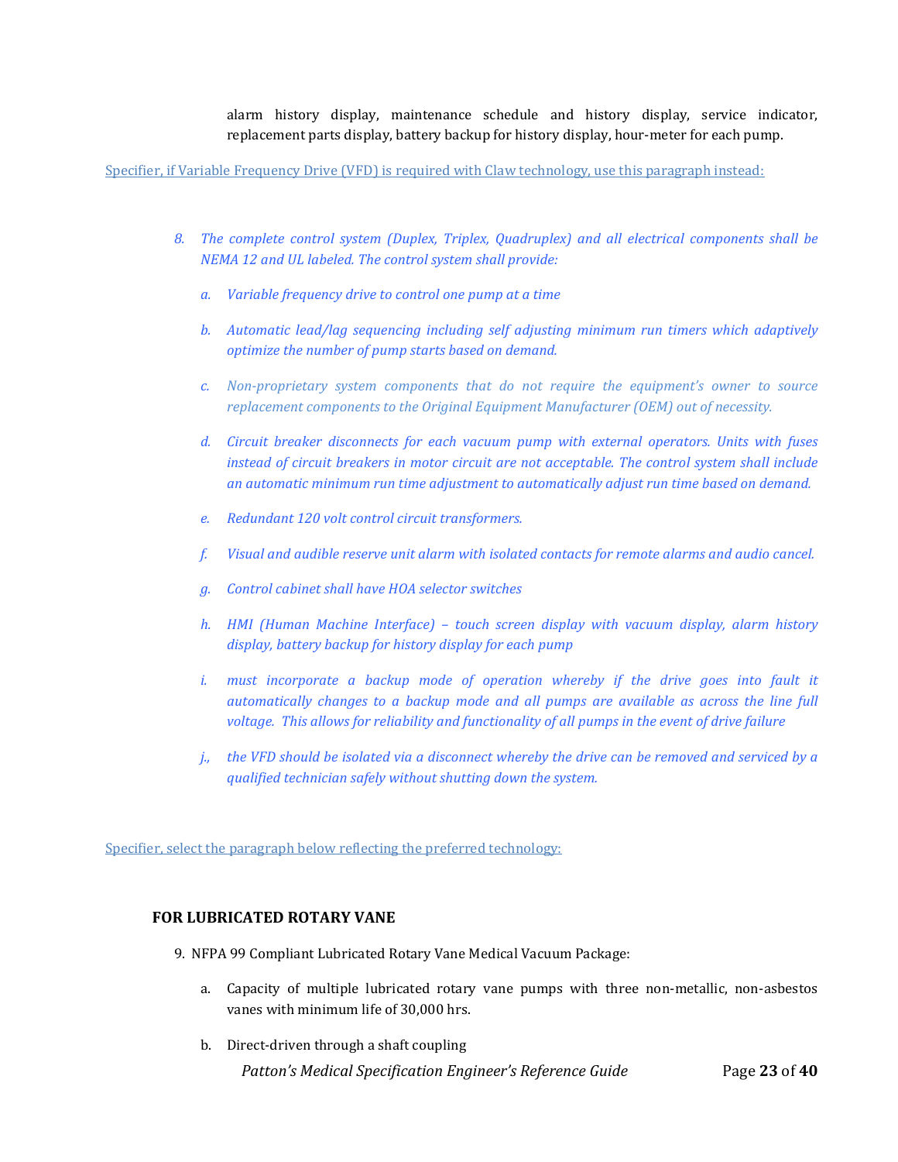alarm history display, maintenance schedule and history display, service indicator, replacement parts display, battery backup for history display, hour-meter for each pump.

Specifier, if Variable Frequency Drive (VFD) is required with Claw technology, use this paragraph instead:

- *8. The complete control system (Duplex, Triplex, Quadruplex) and all electrical components shall be NEMA 12 and UL labeled. The control system shall provide:*
	- *a. Variable frequency drive to control one pump at a time*
	- *b. Automatic lead/lag sequencing including self adjusting minimum run timers which adaptively optimize the number of pump starts based on demand.*
	- *c. Non-proprietary system components that do not require the equipment's owner to source replacement components to the Original Equipment Manufacturer (OEM) out of necessity.*
	- *d. Circuit breaker disconnects for each vacuum pump with external operators. Units with fuses instead of circuit breakers in motor circuit are not acceptable. The control system shall include an automatic minimum run time adjustment to automatically adjust run time based on demand.*
	- *e. Redundant 120 volt control circuit transformers.*
	- *f. Visual and audible reserve unit alarm with isolated contacts for remote alarms and audio cancel.*
	- *g. Control cabinet shall have HOA selector switches*
	- *h. HMI (Human Machine Interface) – touch screen display with vacuum display, alarm history display, battery backup for history display for each pump*
	- *i. must incorporate a backup mode of operation whereby if the drive goes into fault it automatically changes to a backup mode and all pumps are available as across the line full voltage. This allows for reliability and functionality of all pumps in the event of drive failure*
	- *j., the VFD should be isolated via a disconnect whereby the drive can be removed and serviced by a qualified technician safely without shutting down the system.*

Specifier, select the paragraph below reflecting the preferred technology:

#### <span id="page-22-0"></span> **FOR LUBRICATED ROTARY VANE**

- 9. NFPA 99 Compliant Lubricated Rotary Vane Medical Vacuum Package:
	- a. Capacity of multiple lubricated rotary vane pumps with three non-metallic, non-asbestos vanes with minimum life of 30,000 hrs.
	- b. Direct-driven through a shaft coupling

 *Patton's Medical Specification Engineer's Reference Guide* Page **23** of **40**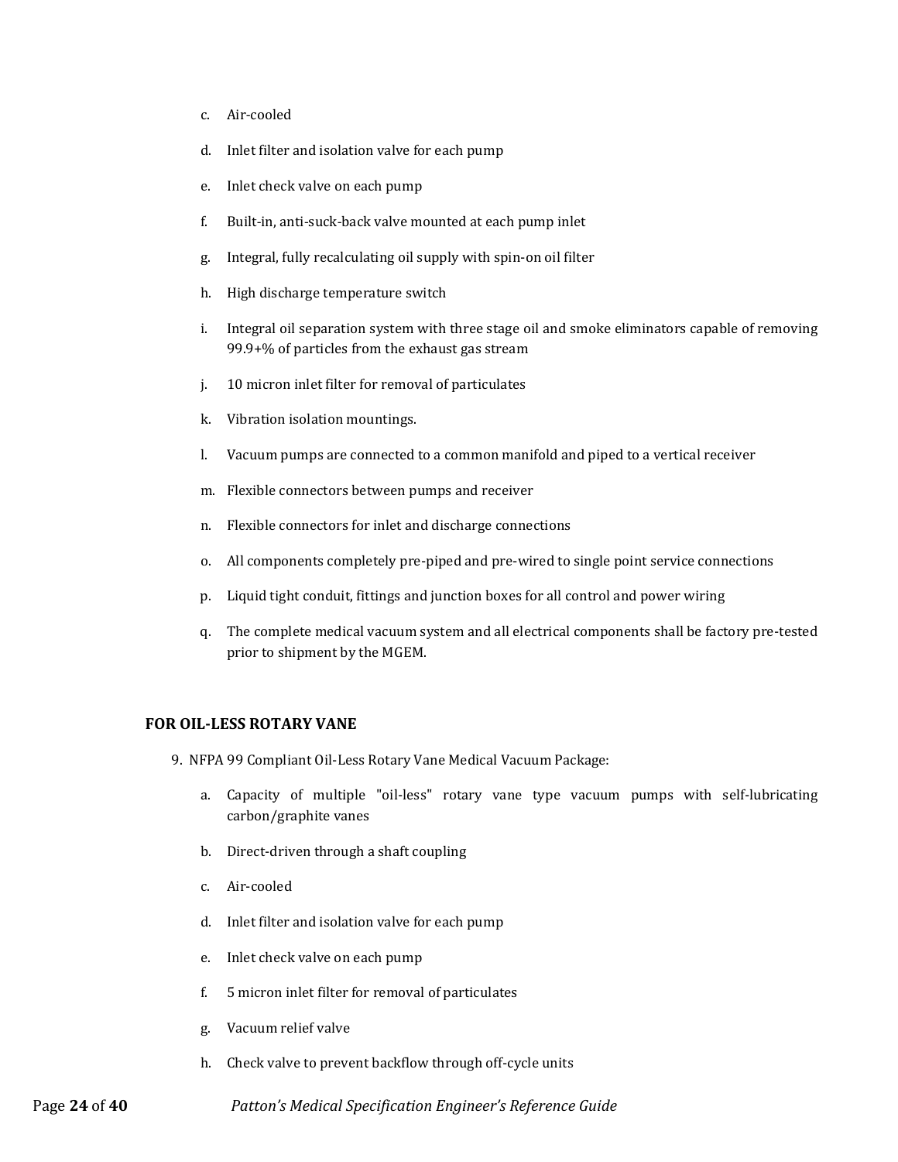- c. Air‐cooled
- d. Inlet filter and isolation valve for each pump
- e. Inlet check valve on each pump
- f. Built‐in, anti‐suck‐back valve mounted at each pump inlet
- g. Integral, fully recalculating oil supply with spin-on oil filter
- h. High discharge temperature switch
- i. Integral oil separation system with three stage oil and smoke eliminators capable of removing 99.9+% of particles from the exhaust gas stream
- j. 10 micron inlet filter for removal of particulates
- k. Vibration isolation mountings.
- l. Vacuum pumps are connected to a common manifold and piped to a vertical receiver
- m. Flexible connectors between pumps and receiver
- n. Flexible connectors for inlet and discharge connections
- o. All components completely pre-piped and pre-wired to single point service connections
- p. Liquid tight conduit, fittings and junction boxes for all control and power wiring
- q. The complete medical vacuum system and all electrical components shall be factory pre-tested prior to shipment by the MGEM.

#### <span id="page-23-0"></span>**FOR OIL-LESS ROTARY VANE**

- 9. NFPA 99 Compliant Oil-Less Rotary Vane Medical Vacuum Package:
	- a. Capacity of multiple "oil-less" rotary vane type vacuum pumps with self-lubricating carbon/graphite vanes
	- b. Direct-driven through a shaft coupling
	- c. Air-cooled
	- d. Inlet filter and isolation valve for each pump
	- e. Inlet check valve on each pump
	- f. 5 micron inlet filter for removal of particulates
	- g. Vacuum relief valve
	- h. Check valve to prevent backflow through off-cycle units

Page **24** of **40** *Patton's Medical Specification Engineer's Reference Guide*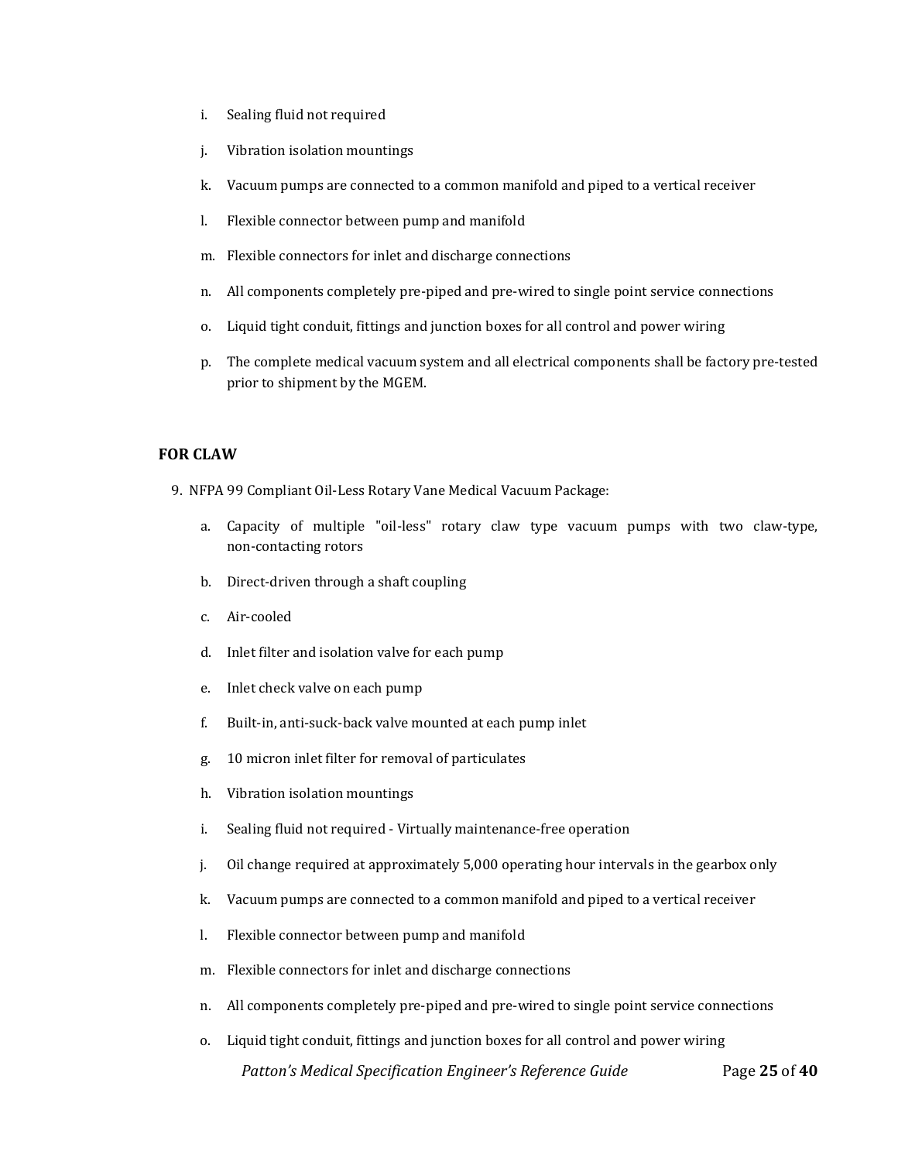- i. Sealing fluid not required
- j. Vibration isolation mountings
- k. Vacuum pumps are connected to a common manifold and piped to a vertical receiver
- l. Flexible connector between pump and manifold
- m. Flexible connectors for inlet and discharge connections
- n. All components completely pre-piped and pre-wired to single point service connections
- o. Liquid tight conduit, fittings and junction boxes for all control and power wiring
- p. The complete medical vacuum system and all electrical components shall be factory pre-tested prior to shipment by the MGEM.

#### <span id="page-24-0"></span>**FOR CLAW**

- 9. NFPA 99 Compliant Oil-Less Rotary Vane Medical Vacuum Package:
	- a. Capacity of multiple "oil-less" rotary claw type vacuum pumps with two claw-type, non-contacting rotors
	- b. Direct-driven through a shaft coupling
	- c. Air-cooled
	- d. Inlet filter and isolation valve for each pump
	- e. Inlet check valve on each pump
	- f. Built-in, anti-suck-back valve mounted at each pump inlet
	- g. 10 micron inlet filter for removal of particulates
	- h. Vibration isolation mountings
	- i. Sealing fluid not required Virtually maintenance-free operation
	- j. Oil change required at approximately 5,000 operating hour intervals in the gearbox only
	- k. Vacuum pumps are connected to a common manifold and piped to a vertical receiver
	- l. Flexible connector between pump and manifold
	- m. Flexible connectors for inlet and discharge connections
	- n. All components completely pre-piped and pre-wired to single point service connections
	- *Patton's Medical Specification Engineer's Reference Guide* Page **25** of **40** o. Liquid tight conduit, fittings and junction boxes for all control and power wiring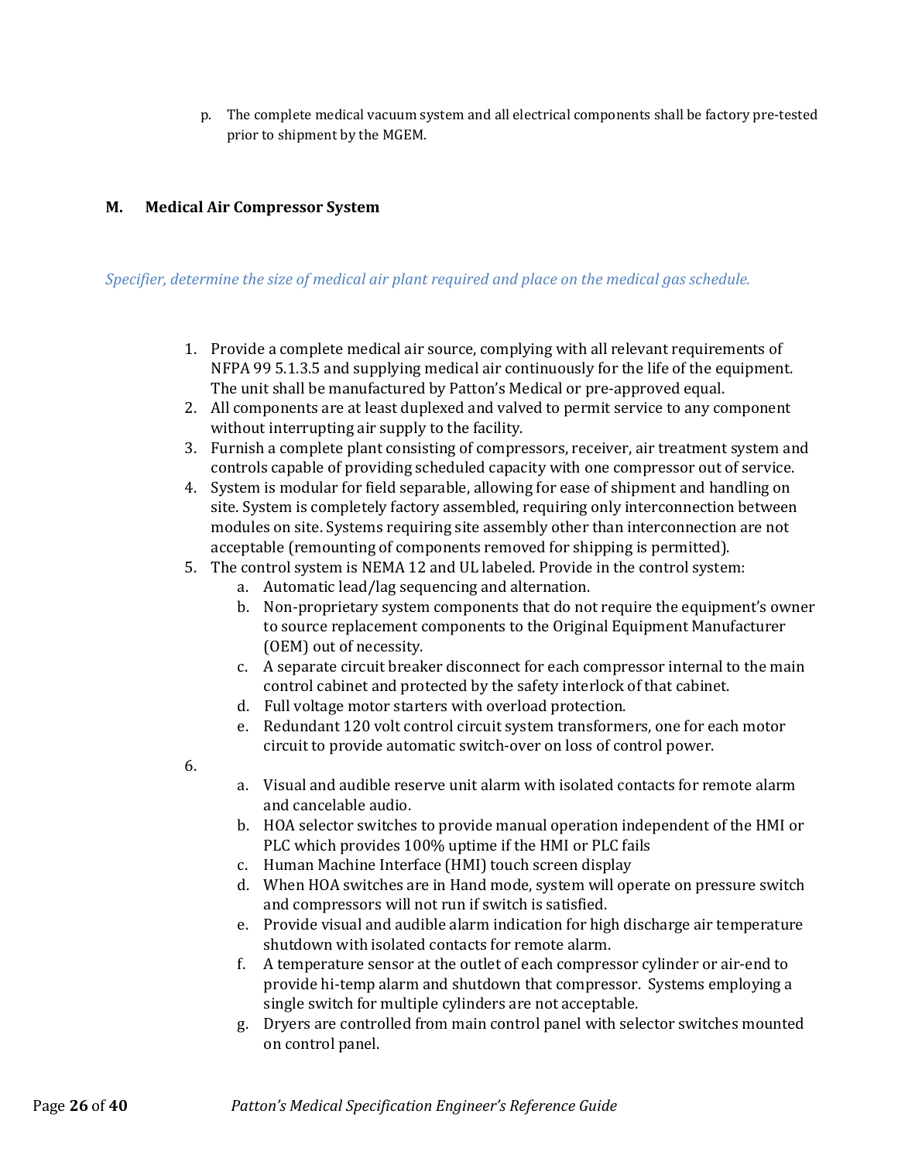p. The complete medical vacuum system and all electrical components shall be factory pre-tested prior to shipment by the MGEM.

# <span id="page-25-0"></span>**M. Medical Air Compressor System**

# *Specifier, determine the size of medical air plant required and place on the medical gas schedule.*

- 1. Provide a complete medical air source, complying with all relevant requirements of NFPA 99 5.1.3.5 and supplying medical air continuously for the life of the equipment. The unit shall be manufactured by Patton's Medical or pre-approved equal.
- 2. All components are at least duplexed and valved to permit service to any component without interrupting air supply to the facility.
- 3. Furnish a complete plant consisting of compressors, receiver, air treatment system and controls capable of providing scheduled capacity with one compressor out of service.
- 4. System is modular for field separable, allowing for ease of shipment and handling on site. System is completely factory assembled, requiring only interconnection between modules on site. Systems requiring site assembly other than interconnection are not acceptable (remounting of components removed for shipping is permitted).
- 5. The control system is NEMA 12 and UL labeled. Provide in the control system:
	- a. Automatic lead/lag sequencing and alternation.
	- b. Non-proprietary system components that do not require the equipment's owner to source replacement components to the Original Equipment Manufacturer (OEM) out of necessity.
	- c. A separate circuit breaker disconnect for each compressor internal to the main control cabinet and protected by the safety interlock of that cabinet.
	- d. Full voltage motor starters with overload protection.
	- e. Redundant 120 volt control circuit system transformers, one for each motor circuit to provide automatic switch-over on loss of control power.
- 6.
- a. Visual and audible reserve unit alarm with isolated contacts for remote alarm and cancelable audio.
- b. HOA selector switches to provide manual operation independent of the HMI or PLC which provides 100% uptime if the HMI or PLC fails
- c. Human Machine Interface (HMI) touch screen display
- d. When HOA switches are in Hand mode, system will operate on pressure switch and compressors will not run if switch is satisfied.
- e. Provide visual and audible alarm indication for high discharge air temperature shutdown with isolated contacts for remote alarm.
- f. A temperature sensor at the outlet of each compressor cylinder or air-end to provide hi-temp alarm and shutdown that compressor. Systems employing a single switch for multiple cylinders are not acceptable.
- g. Dryers are controlled from main control panel with selector switches mounted on control panel.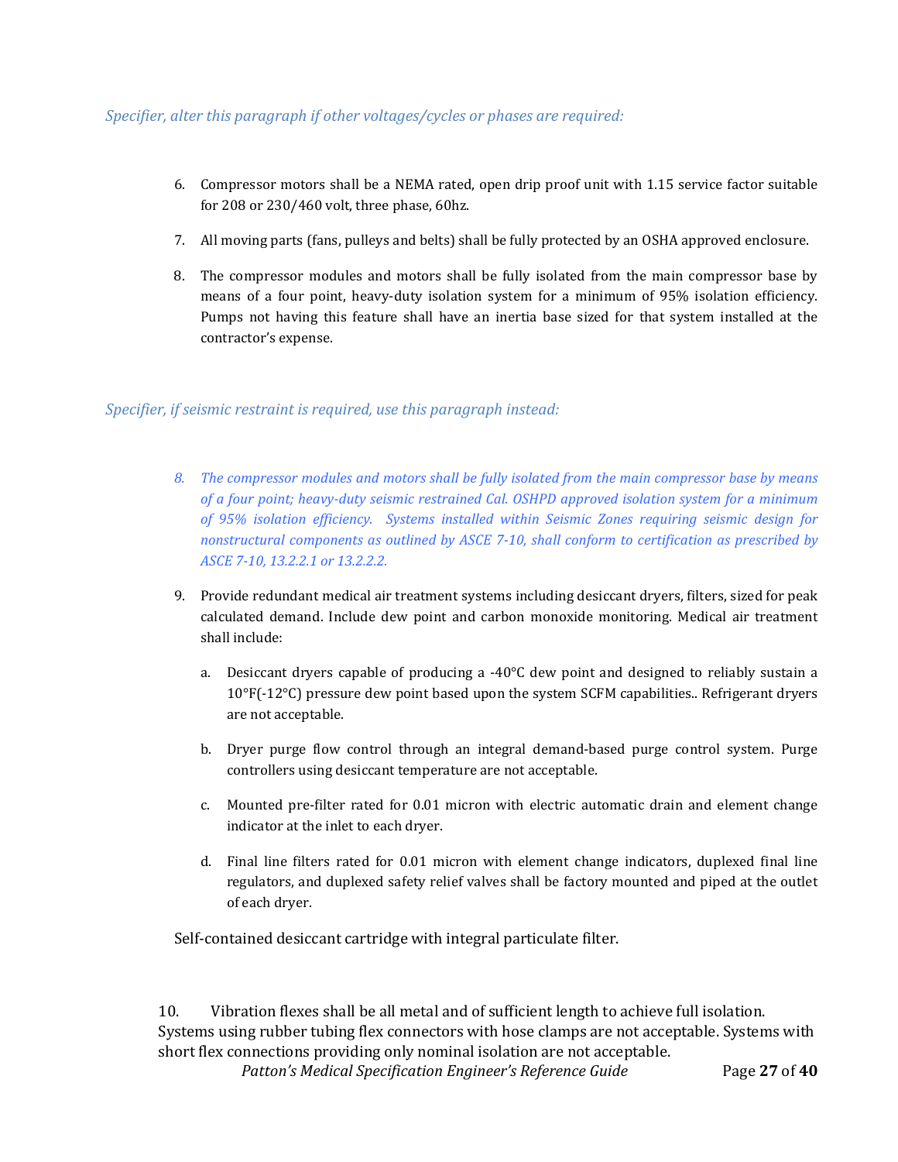# *Specifier, alter this paragraph if other voltages/cycles or phases are required:*

- 6. Compressor motors shall be a NEMA rated, open drip proof unit with 1.15 service factor suitable for 208 or 230/460 volt, three phase, 60hz.
- 7. All moving parts (fans, pulleys and belts) shall be fully protected by an OSHA approved enclosure.
- 8. The compressor modules and motors shall be fully isolated from the main compressor base by means of a four point, heavy-duty isolation system for a minimum of 95% isolation efficiency. Pumps not having this feature shall have an inertia base sized for that system installed at the contractor's expense.

*Specifier, if seismic restraint is required, use this paragraph instead:*

- *8. The compressor modules and motors shall be fully isolated from the main compressor base by means of a four point; heavy-duty seismic restrained Cal. OSHPD approved isolation system for a minimum of 95% isolation efficiency. Systems installed within Seismic Zones requiring seismic design for nonstructural components as outlined by ASCE 7-10, shall conform to certification as prescribed by ASCE 7-10, 13.2.2.1 or 13.2.2.2.*
- 9. Provide redundant medical air treatment systems including desiccant dryers, filters, sized for peak calculated demand. Include dew point and carbon monoxide monitoring. Medical air treatment shall include:
	- a. Desiccant dryers capable of producing a  $-40^{\circ}$ C dew point and designed to reliably sustain a 10°F(-12°C) pressure dew point based upon the system SCFM capabilities.. Refrigerant dryers are not acceptable.
	- b. Dryer purge flow control through an integral demand-based purge control system. Purge controllers using desiccant temperature are not acceptable.
	- c. Mounted pre-filter rated for 0.01 micron with electric automatic drain and element change indicator at the inlet to each dryer.
	- d. Final line filters rated for 0.01 micron with element change indicators, duplexed final line regulators, and duplexed safety relief valves shall be factory mounted and piped at the outlet of each dryer.

Self-contained desiccant cartridge with integral particulate filter.

10. Vibration flexes shall be all metal and of sufficient length to achieve full isolation. Systems using rubber tubing flex connectors with hose clamps are not acceptable. Systems with short flex connections providing only nominal isolation are not acceptable.

 *Patton's Medical Specification Engineer's Reference Guide* Page **27** of **40**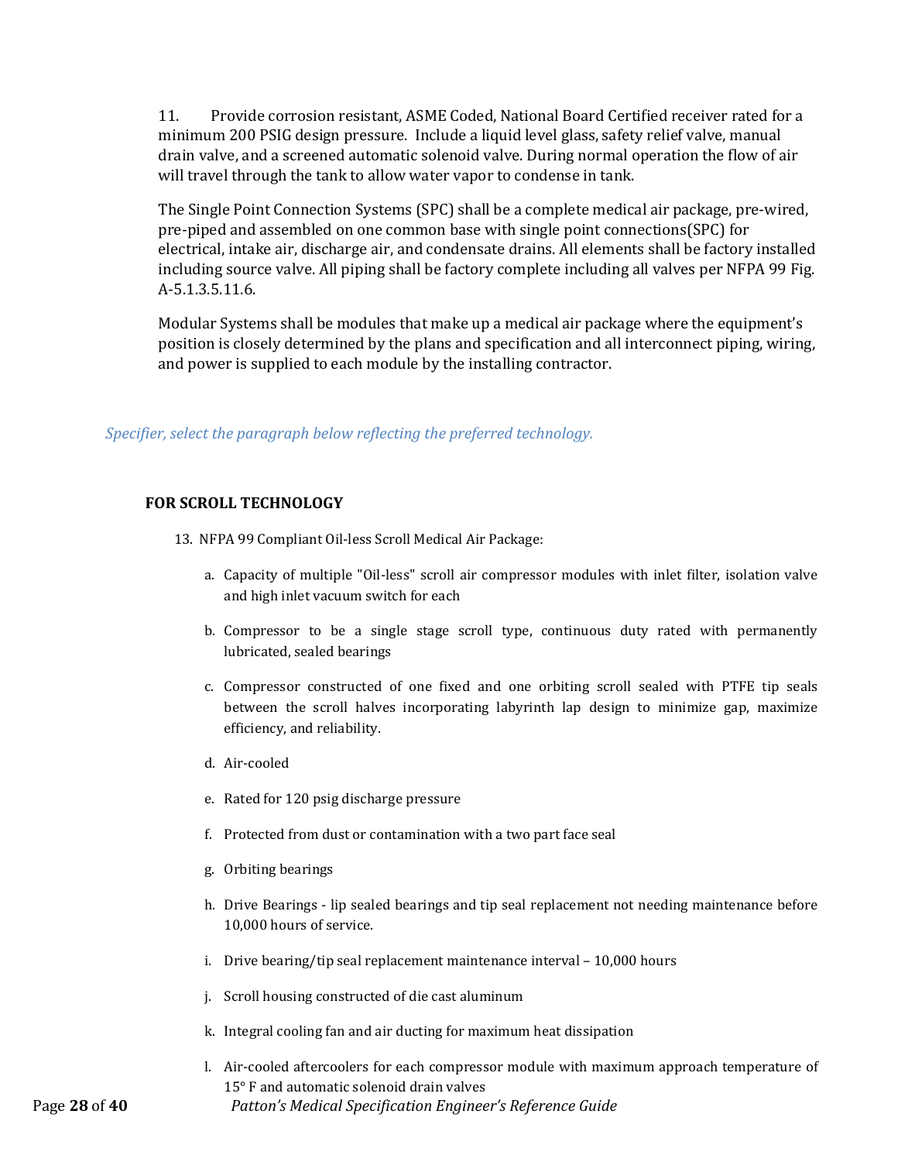11. Provide corrosion resistant, ASME Coded, National Board Certified receiver rated for a minimum 200 PSIG design pressure. Include a liquid level glass, safety relief valve, manual drain valve, and a screened automatic solenoid valve. During normal operation the flow of air will travel through the tank to allow water vapor to condense in tank.

The Single Point Connection Systems (SPC) shall be a complete medical air package, pre-wired, pre-piped and assembled on one common base with single point connections(SPC) for electrical, intake air, discharge air, and condensate drains. All elements shall be factory installed including source valve. All piping shall be factory complete including all valves per NFPA 99 Fig. A-5.1.3.5.11.6.

Modular Systems shall be modules that make up a medical air package where the equipment's position is closely determined by the plans and specification and all interconnect piping, wiring, and power is supplied to each module by the installing contractor.

*Specifier, select the paragraph below reflecting the preferred technology.*

# <span id="page-27-0"></span>**FOR SCROLL TECHNOLOGY**

- 13. NFPA 99 Compliant Oil-less Scroll Medical Air Package:
	- a. Capacity of multiple "Oil-less" scroll air compressor modules with inlet filter, isolation valve and high inlet vacuum switch for each
	- b. Compressor to be a single stage scroll type, continuous duty rated with permanently lubricated, sealed bearings
	- c. Compressor constructed of one fixed and one orbiting scroll sealed with PTFE tip seals between the scroll halves incorporating labyrinth lap design to minimize gap, maximize efficiency, and reliability.
	- d. Air-cooled
	- e. Rated for 120 psig discharge pressure
	- f. Protected from dust or contamination with a two part face seal
	- g. Orbiting bearings
	- h. Drive Bearings lip sealed bearings and tip seal replacement not needing maintenance before 10,000 hours of service.
	- i. Drive bearing/tip seal replacement maintenance interval 10,000 hours
	- j. Scroll housing constructed of die cast aluminum
	- k. Integral cooling fan and air ducting for maximum heat dissipation
- Page **28** of **40** *Patton's Medical Specification Engineer's Reference Guide* l. Air-cooled aftercoolers for each compressor module with maximum approach temperature of 15° F and automatic solenoid drain valves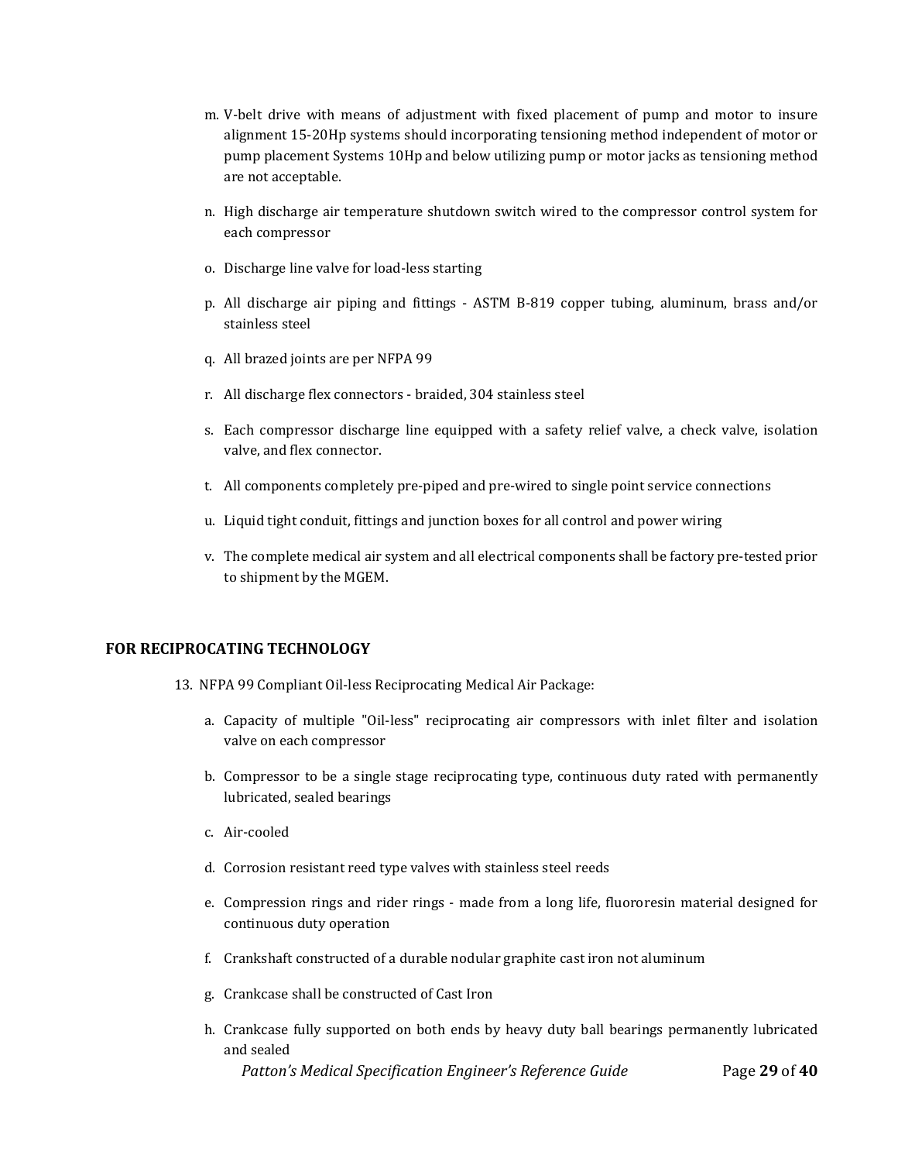- m. V-belt drive with means of adjustment with fixed placement of pump and motor to insure alignment 15-20Hp systems should incorporating tensioning method independent of motor or pump placement Systems 10Hp and below utilizing pump or motor jacks as tensioning method are not acceptable.
- n. High discharge air temperature shutdown switch wired to the compressor control system for each compressor
- o. Discharge line valve for load-less starting
- p. All discharge air piping and fittings ASTM B-819 copper tubing, aluminum, brass and/or stainless steel
- q. All brazed joints are per NFPA 99
- r. All discharge flex connectors braided, 304 stainless steel
- s. Each compressor discharge line equipped with a safety relief valve, a check valve, isolation valve, and flex connector.
- t. All components completely pre-piped and pre-wired to single point service connections
- u. Liquid tight conduit, fittings and junction boxes for all control and power wiring
- v. The complete medical air system and all electrical components shall be factory pre-tested prior to shipment by the MGEM.

#### <span id="page-28-0"></span>**FOR RECIPROCATING TECHNOLOGY**

- 13. NFPA 99 Compliant Oil-less Reciprocating Medical Air Package:
	- a. Capacity of multiple "Oil-less" reciprocating air compressors with inlet filter and isolation valve on each compressor
	- b. Compressor to be a single stage reciprocating type, continuous duty rated with permanently lubricated, sealed bearings
	- c. Air-cooled
	- d. Corrosion resistant reed type valves with stainless steel reeds
	- e. Compression rings and rider rings made from a long life, fluororesin material designed for continuous duty operation
	- f. Crankshaft constructed of a durable nodular graphite cast iron not aluminum
	- g. Crankcase shall be constructed of Cast Iron
	- h. Crankcase fully supported on both ends by heavy duty ball bearings permanently lubricated and sealed

 *Patton's Medical Specification Engineer's Reference Guide* Page **29** of **40**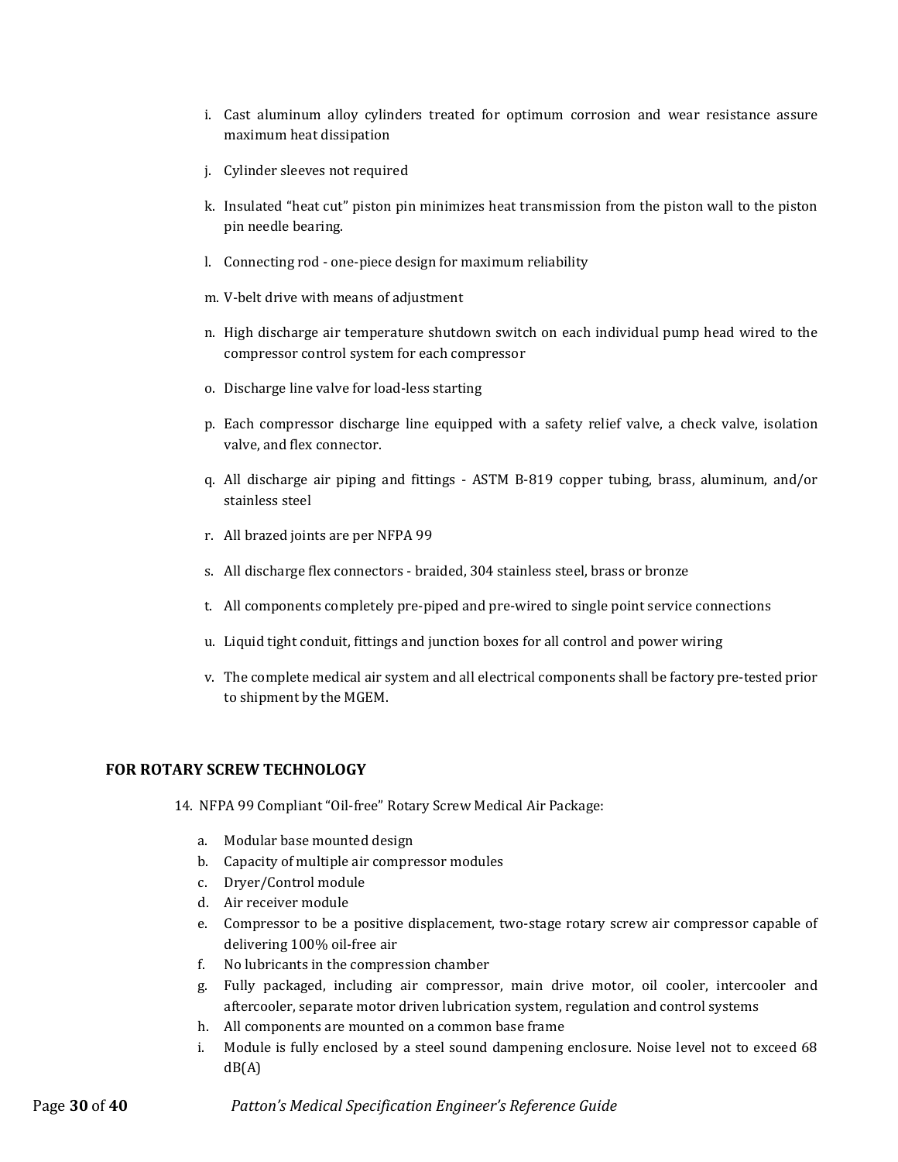- i. Cast aluminum alloy cylinders treated for optimum corrosion and wear resistance assure maximum heat dissipation
- j. Cylinder sleeves not required
- k. Insulated "heat cut" piston pin minimizes heat transmission from the piston wall to the piston pin needle bearing.
- l. Connecting rod one-piece design for maximum reliability
- m. V-belt drive with means of adjustment
- n. High discharge air temperature shutdown switch on each individual pump head wired to the compressor control system for each compressor
- o. Discharge line valve for load-less starting
- p. Each compressor discharge line equipped with a safety relief valve, a check valve, isolation valve, and flex connector.
- q. All discharge air piping and fittings ASTM B-819 copper tubing, brass, aluminum, and/or stainless steel
- r. All brazed joints are per NFPA 99
- s. All discharge flex connectors braided, 304 stainless steel, brass or bronze
- t. All components completely pre-piped and pre-wired to single point service connections
- u. Liquid tight conduit, fittings and junction boxes for all control and power wiring
- v. The complete medical air system and all electrical components shall be factory pre-tested prior to shipment by the MGEM.

#### <span id="page-29-0"></span>**FOR ROTARY SCREW TECHNOLOGY**

- 14. NFPA 99 Compliant "Oil-free" Rotary Screw Medical Air Package:
	- a. Modular base mounted design
	- b. Capacity of multiple air compressor modules
	- c. Dryer/Control module
	- d. Air receiver module
	- e. Compressor to be a positive displacement, two-stage rotary screw air compressor capable of delivering 100% oil-free air
	- f. No lubricants in the compression chamber
	- g. Fully packaged, including air compressor, main drive motor, oil cooler, intercooler and aftercooler, separate motor driven lubrication system, regulation and control systems
	- h. All components are mounted on a common base frame
	- i. Module is fully enclosed by a steel sound dampening enclosure. Noise level not to exceed 68  $dB(A)$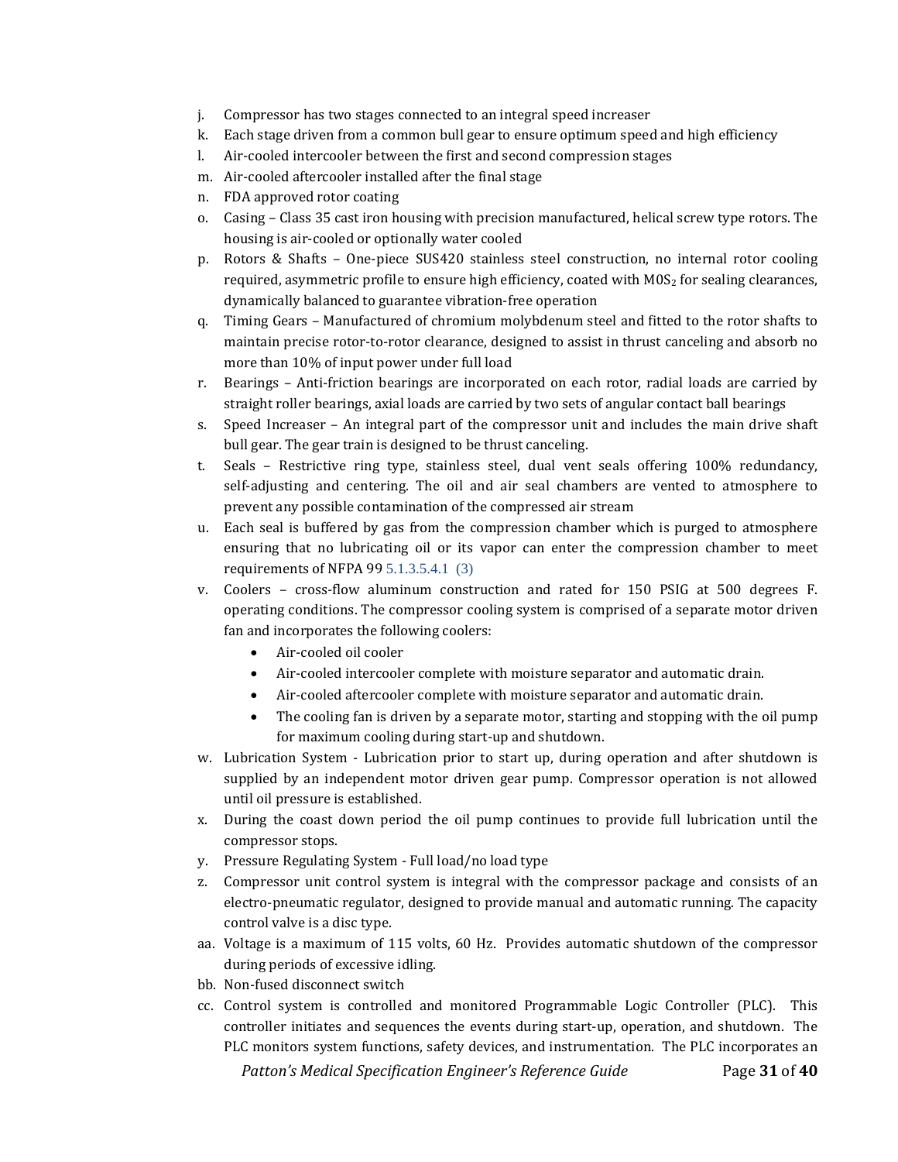- j. Compressor has two stages connected to an integral speed increaser
- k. Each stage driven from a common bull gear to ensure optimum speed and high efficiency
- l. Air-cooled intercooler between the first and second compression stages
- m. Air-cooled aftercooler installed after the final stage
- n. FDA approved rotor coating
- o. Casing Class 35 cast iron housing with precision manufactured, helical screw type rotors. The housing is air-cooled or optionally water cooled
- p. Rotors & Shafts One-piece SUS420 stainless steel construction, no internal rotor cooling required, asymmetric profile to ensure high efficiency, coated with M0S<sub>2</sub> for sealing clearances, dynamically balanced to guarantee vibration-free operation
- q. Timing Gears Manufactured of chromium molybdenum steel and fitted to the rotor shafts to maintain precise rotor-to-rotor clearance, designed to assist in thrust canceling and absorb no more than 10% of input power under full load
- r. Bearings Anti-friction bearings are incorporated on each rotor, radial loads are carried by straight roller bearings, axial loads are carried by two sets of angular contact ball bearings
- s. Speed Increaser An integral part of the compressor unit and includes the main drive shaft bull gear. The gear train is designed to be thrust canceling.
- t. Seals Restrictive ring type, stainless steel, dual vent seals offering 100% redundancy, self-adjusting and centering. The oil and air seal chambers are vented to atmosphere to prevent any possible contamination of the compressed air stream
- u. Each seal is buffered by gas from the compression chamber which is purged to atmosphere ensuring that no lubricating oil or its vapor can enter the compression chamber to meet requirements of NFPA 99 5.1.3.5.4.1 (3)
- v. Coolers cross-flow aluminum construction and rated for 150 PSIG at 500 degrees F. operating conditions. The compressor cooling system is comprised of a separate motor driven fan and incorporates the following coolers:
	- Air-cooled oil cooler
	- Air-cooled intercooler complete with moisture separator and automatic drain.
	- Air-cooled aftercooler complete with moisture separator and automatic drain.
	- The cooling fan is driven by a separate motor, starting and stopping with the oil pump for maximum cooling during start-up and shutdown.
- w. Lubrication System Lubrication prior to start up, during operation and after shutdown is supplied by an independent motor driven gear pump. Compressor operation is not allowed until oil pressure is established.
- x. During the coast down period the oil pump continues to provide full lubrication until the compressor stops.
- y. Pressure Regulating System Full load/no load type
- z. Compressor unit control system is integral with the compressor package and consists of an electro-pneumatic regulator, designed to provide manual and automatic running. The capacity control valve is a disc type.
- aa. Voltage is a maximum of 115 volts, 60 Hz. Provides automatic shutdown of the compressor during periods of excessive idling.
- bb. Non-fused disconnect switch
- *Patton's Medical Specification Engineer's Reference Guide* Page **31** of **40** cc. Control system is controlled and monitored Programmable Logic Controller (PLC). This controller initiates and sequences the events during start-up, operation, and shutdown. The PLC monitors system functions, safety devices, and instrumentation. The PLC incorporates an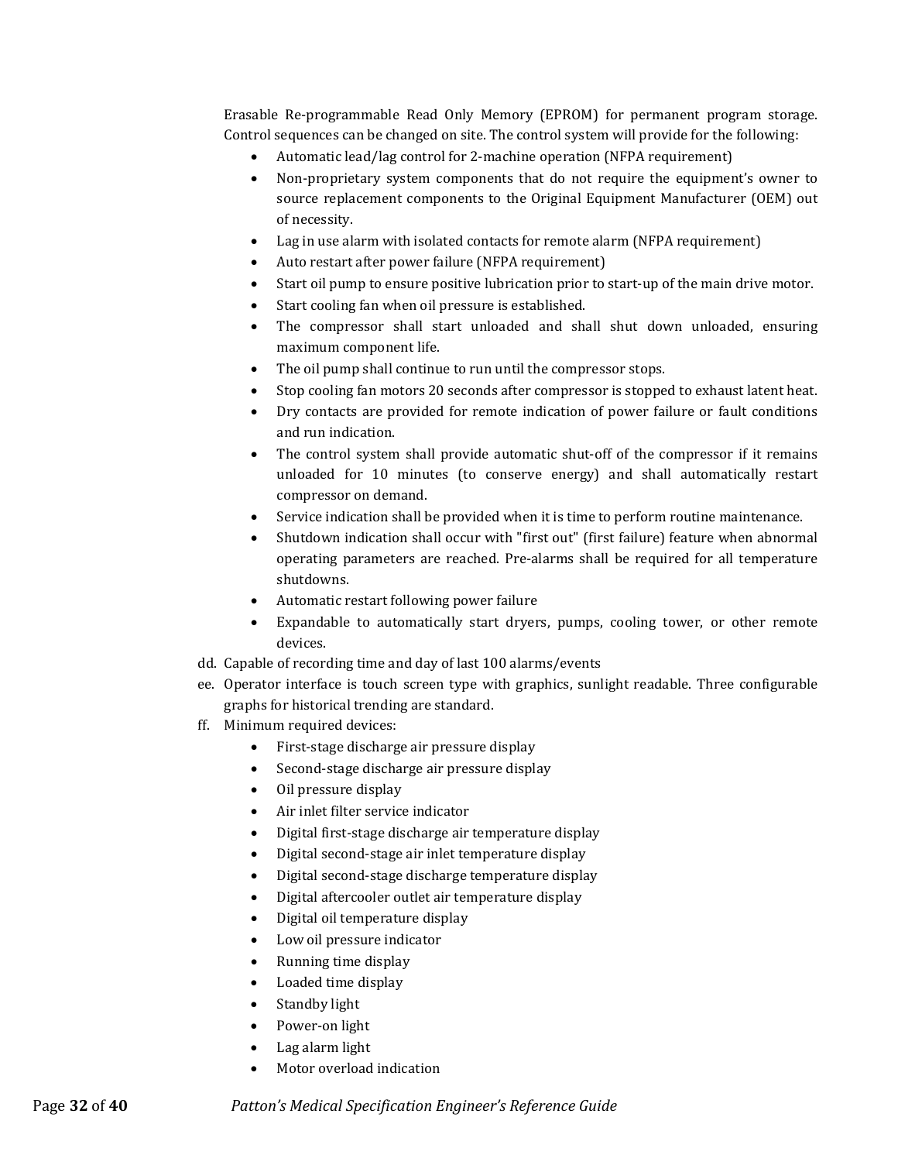Erasable Re-programmable Read Only Memory (EPROM) for permanent program storage. Control sequences can be changed on site. The control system will provide for the following:

- Automatic lead/lag control for 2-machine operation (NFPA requirement)
- Non-proprietary system components that do not require the equipment's owner to source replacement components to the Original Equipment Manufacturer (OEM) out of necessity.
- Lag in use alarm with isolated contacts for remote alarm (NFPA requirement)
- Auto restart after power failure (NFPA requirement)
- Start oil pump to ensure positive lubrication prior to start-up of the main drive motor.
- Start cooling fan when oil pressure is established.
- The compressor shall start unloaded and shall shut down unloaded, ensuring maximum component life.
- The oil pump shall continue to run until the compressor stops.
- Stop cooling fan motors 20 seconds after compressor is stopped to exhaust latent heat.
- Dry contacts are provided for remote indication of power failure or fault conditions and run indication.
- The control system shall provide automatic shut-off of the compressor if it remains unloaded for 10 minutes (to conserve energy) and shall automatically restart compressor on demand.
- Service indication shall be provided when it is time to perform routine maintenance.
- Shutdown indication shall occur with "first out" (first failure) feature when abnormal operating parameters are reached. Pre-alarms shall be required for all temperature shutdowns.
- Automatic restart following power failure
- Expandable to automatically start dryers, pumps, cooling tower, or other remote devices.
- dd. Capable of recording time and day of last 100 alarms/events
- ee. Operator interface is touch screen type with graphics, sunlight readable. Three configurable graphs for historical trending are standard.
- ff. Minimum required devices:
	- First-stage discharge air pressure display
	- Second-stage discharge air pressure display
	- Oil pressure display
	- Air inlet filter service indicator
	- Digital first-stage discharge air temperature display
	- Digital second-stage air inlet temperature display
	- Digital second-stage discharge temperature display
	- Digital aftercooler outlet air temperature display
	- Digital oil temperature display
	- Low oil pressure indicator
	- Running time display
	- Loaded time display
	- Standby light
	- Power-on light
	- Lag alarm light
	- Motor overload indication

Page **32** of **40** *Patton's Medical Specification Engineer's Reference Guide*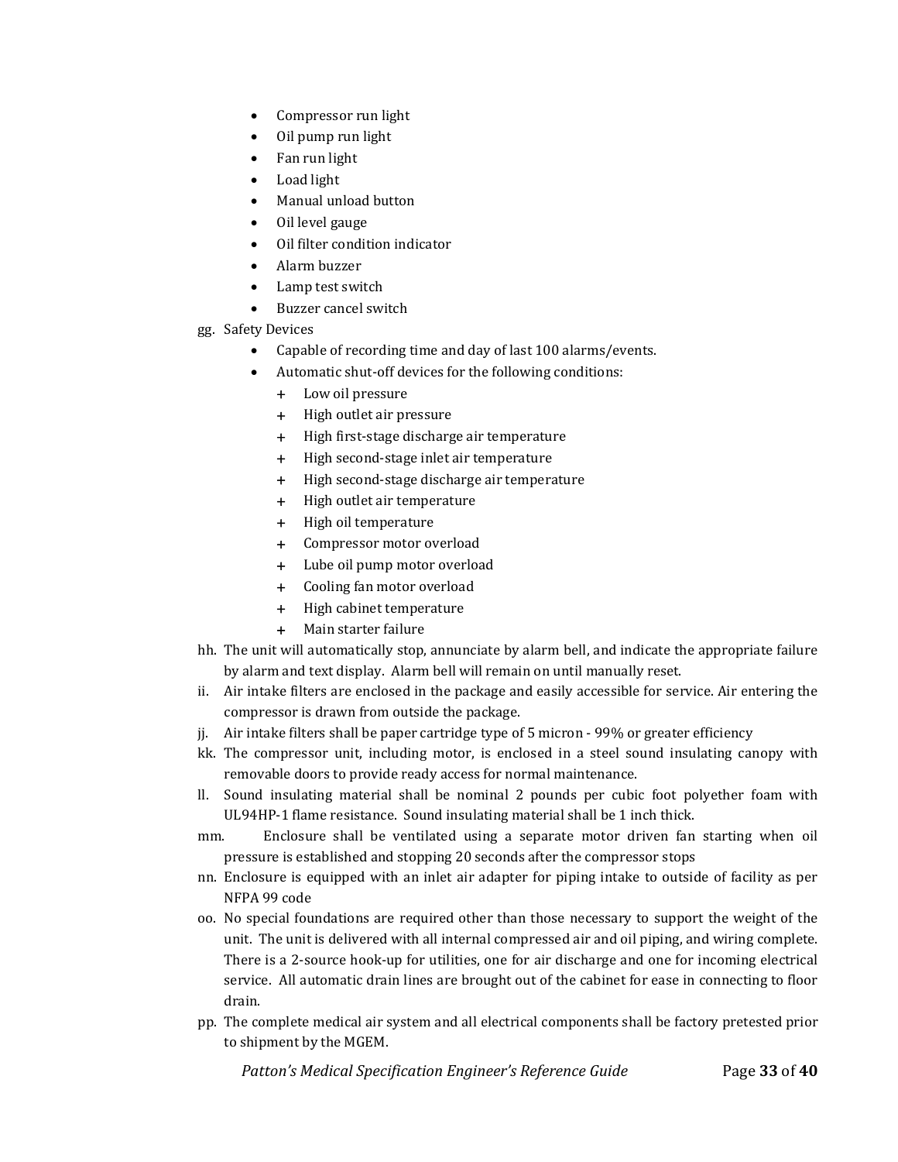- Compressor run light
- Oil pump run light
- Fan run light
- Load light
- Manual unload button
- Oil level gauge
- Oil filter condition indicator
- Alarm buzzer
- Lamp test switch
- Buzzer cancel switch
- gg. Safety Devices
	- Capable of recording time and day of last 100 alarms/events.
	- Automatic shut-off devices for the following conditions:
		- + Low oil pressure
		- + High outlet air pressure
		- + High first-stage discharge air temperature
		- + High second-stage inlet air temperature
		- + High second-stage discharge air temperature
		- + High outlet air temperature
		- + High oil temperature
		- + Compressor motor overload
		- + Lube oil pump motor overload
		- + Cooling fan motor overload
		- + High cabinet temperature
		- + Main starter failure
- hh. The unit will automatically stop, annunciate by alarm bell, and indicate the appropriate failure by alarm and text display. Alarm bell will remain on until manually reset.
- ii. Air intake filters are enclosed in the package and easily accessible for service. Air entering the compressor is drawn from outside the package.
- jj. Air intake filters shall be paper cartridge type of 5 micron 99% or greater efficiency
- kk. The compressor unit, including motor, is enclosed in a steel sound insulating canopy with removable doors to provide ready access for normal maintenance.
- ll. Sound insulating material shall be nominal 2 pounds per cubic foot polyether foam with UL94HP-1 flame resistance. Sound insulating material shall be 1 inch thick.
- mm. Enclosure shall be ventilated using a separate motor driven fan starting when oil pressure is established and stopping 20 seconds after the compressor stops
- nn. Enclosure is equipped with an inlet air adapter for piping intake to outside of facility as per NFPA 99 code
- oo. No special foundations are required other than those necessary to support the weight of the unit. The unit is delivered with all internal compressed air and oil piping, and wiring complete. There is a 2-source hook-up for utilities, one for air discharge and one for incoming electrical service. All automatic drain lines are brought out of the cabinet for ease in connecting to floor drain.
- pp. The complete medical air system and all electrical components shall be factory pretested prior to shipment by the MGEM.

 *Patton's Medical Specification Engineer's Reference Guide* Page **33** of **40**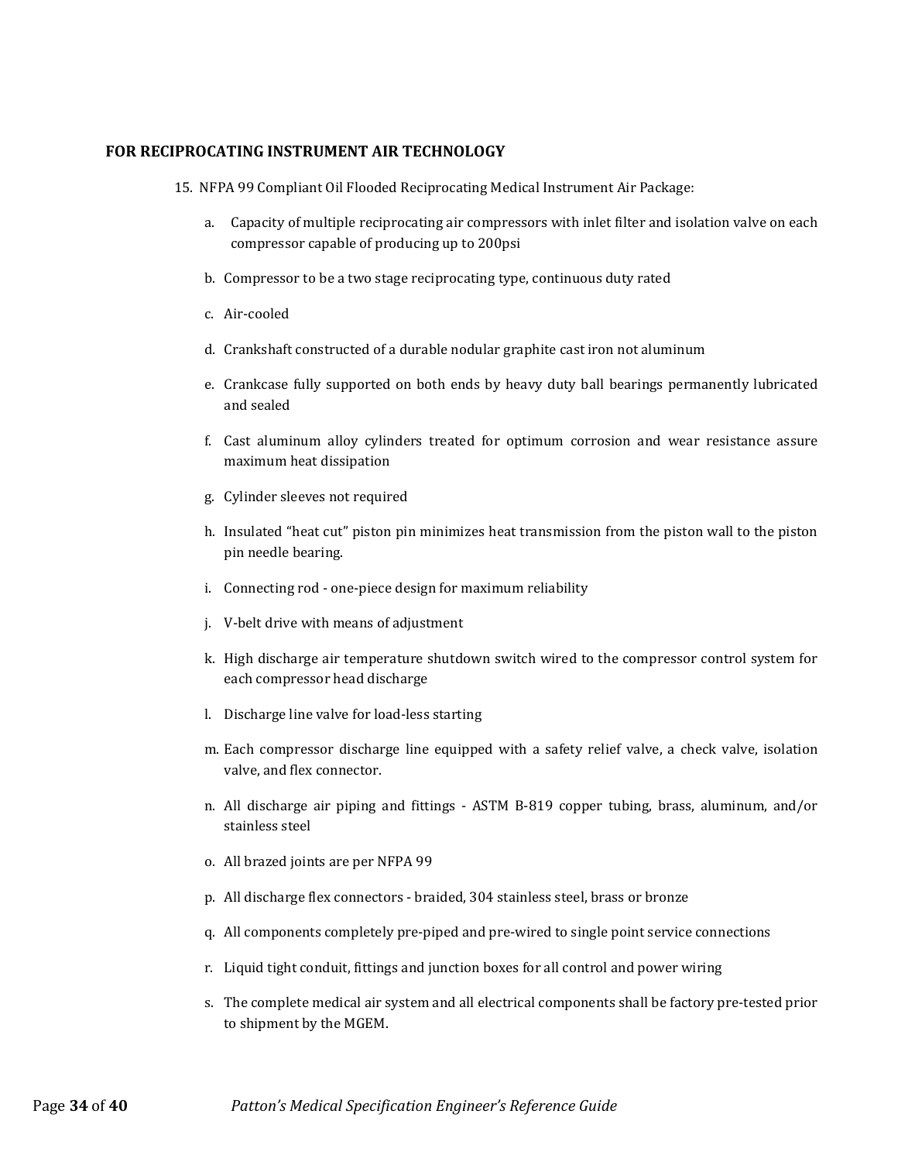#### <span id="page-33-0"></span>**FOR RECIPROCATING INSTRUMENT AIR TECHNOLOGY**

- 15. NFPA 99 Compliant Oil Flooded Reciprocating Medical Instrument Air Package:
	- a. Capacity of multiple reciprocating air compressors with inlet filter and isolation valve on each compressor capable of producing up to 200psi
	- b. Compressor to be a two stage reciprocating type, continuous duty rated
	- c. Air-cooled
	- d. Crankshaft constructed of a durable nodular graphite cast iron not aluminum
	- e. Crankcase fully supported on both ends by heavy duty ball bearings permanently lubricated and sealed
	- f. Cast aluminum alloy cylinders treated for optimum corrosion and wear resistance assure maximum heat dissipation
	- g. Cylinder sleeves not required
	- h. Insulated "heat cut" piston pin minimizes heat transmission from the piston wall to the piston pin needle bearing.
	- i. Connecting rod one-piece design for maximum reliability
	- j. V-belt drive with means of adjustment
	- k. High discharge air temperature shutdown switch wired to the compressor control system for each compressor head discharge
	- l. Discharge line valve for load-less starting
	- m. Each compressor discharge line equipped with a safety relief valve, a check valve, isolation valve, and flex connector.
	- n. All discharge air piping and fittings ASTM B-819 copper tubing, brass, aluminum, and/or stainless steel
	- o. All brazed joints are per NFPA 99
	- p. All discharge flex connectors braided, 304 stainless steel, brass or bronze
	- q. All components completely pre-piped and pre-wired to single point service connections
	- r. Liquid tight conduit, fittings and junction boxes for all control and power wiring
	- s. The complete medical air system and all electrical components shall be factory pre-tested prior to shipment by the MGEM.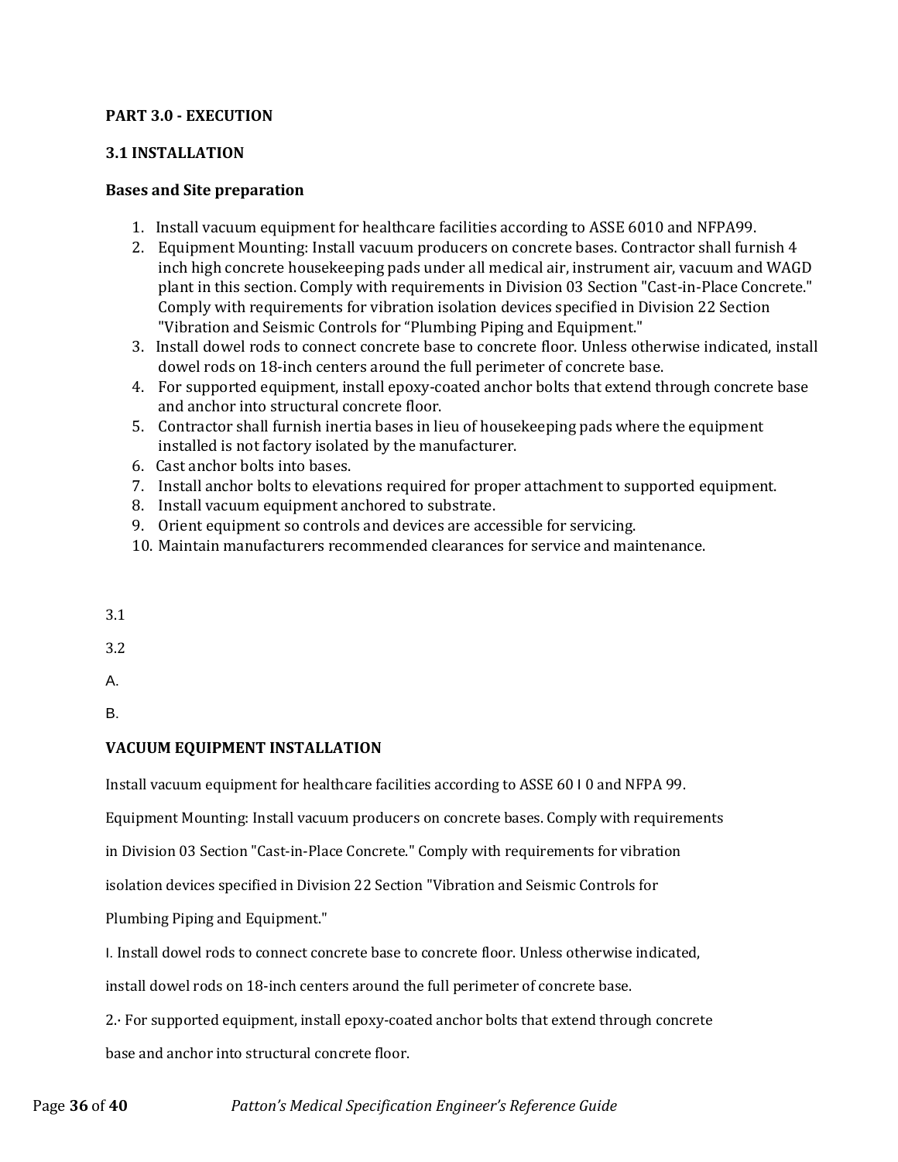# <span id="page-35-0"></span>**PART 3.0 - EXECUTION**

# <span id="page-35-1"></span>**3.1 INSTALLATION**

# <span id="page-35-2"></span>**Bases and Site preparation**

- 1. Install vacuum equipment for healthcare facilities according to ASSE 6010 and NFPA99.
- 2. Equipment Mounting: Install vacuum producers on concrete bases. Contractor shall furnish 4 inch high concrete housekeeping pads under all medical air, instrument air, vacuum and WAGD plant in this section. Comply with requirements in Division 03 Section "Cast-in-Place Concrete." Comply with requirements for vibration isolation devices specified in Division 22 Section "Vibration and Seismic Controls for "Plumbing Piping and Equipment."
- 3. Install dowel rods to connect concrete base to concrete floor. Unless otherwise indicated, install dowel rods on 18-inch centers around the full perimeter of concrete base.
- 4. For supported equipment, install epoxy-coated anchor bolts that extend through concrete base and anchor into structural concrete floor.
- 5. Contractor shall furnish inertia bases in lieu of housekeeping pads where the equipment installed is not factory isolated by the manufacturer.
- 6. Cast anchor bolts into bases.
- 7. Install anchor bolts to elevations required for proper attachment to supported equipment.
- 8. Install vacuum equipment anchored to substrate.
- 9. Orient equipment so controls and devices are accessible for servicing.
- 10. Maintain manufacturers recommended clearances for service and maintenance.
- 3.1

3.2

A.

B.

# <span id="page-35-3"></span>**VACUUM EQUIPMENT INSTALLATION**

Install vacuum equipment for healthcare facilities according to ASSE 60 I 0 and NFPA 99.

Equipment Mounting: Install vacuum producers on concrete bases. Comply with requirements

in Division 03 Section "Cast-in-Place Concrete." Comply with requirements for vibration

isolation devices specified in Division 22 Section "Vibration and Seismic Controls for

Plumbing Piping and Equipment."

I. Install dowel rods to connect concrete base to concrete floor. Unless otherwise indicated,

install dowel rods on 18-inch centers around the full perimeter of concrete base.

2.· For supported equipment, install epoxy-coated anchor bolts that extend through concrete base and anchor into structural concrete floor.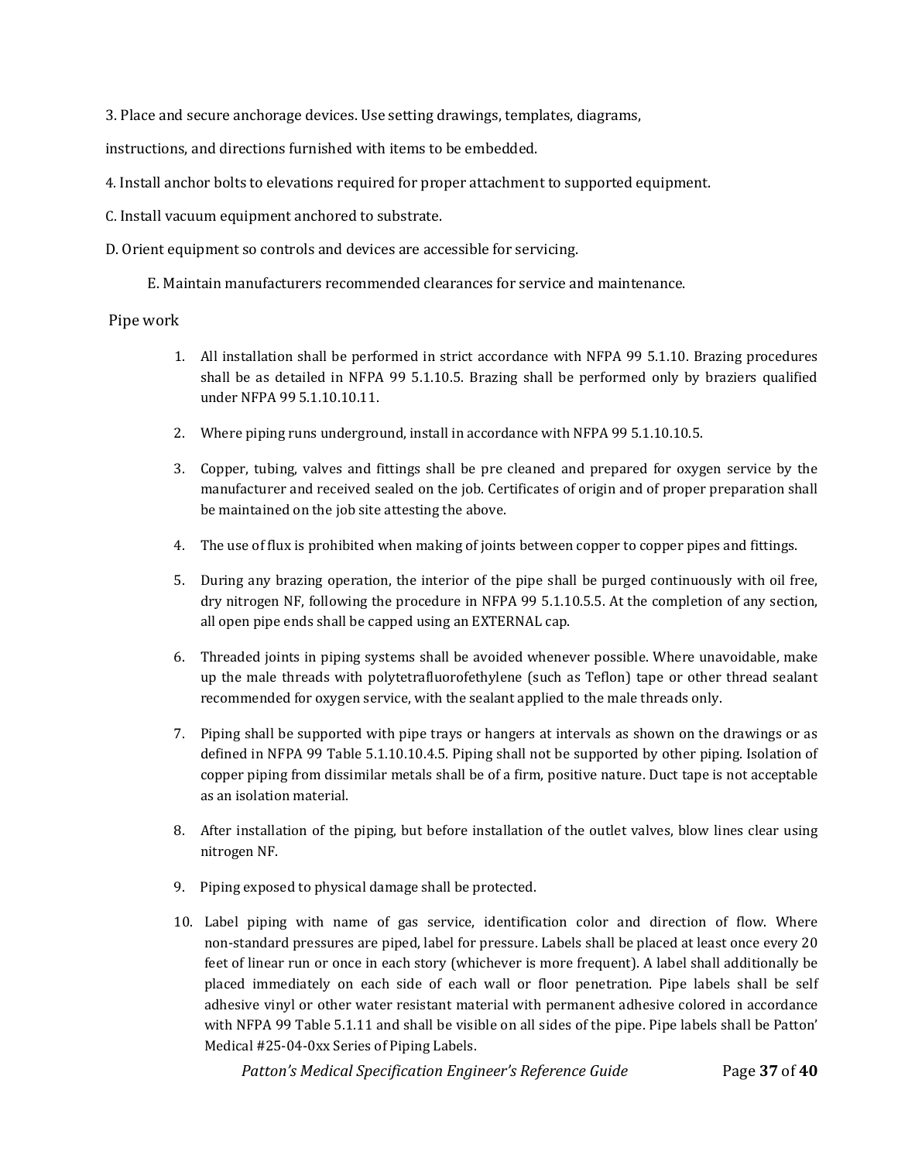3. Place and secure anchorage devices. Use setting drawings, templates, diagrams,

instructions, and directions furnished with items to be embedded.

- 4. Install anchor bolts to elevations required for proper attachment to supported equipment.
- C. Install vacuum equipment anchored to substrate.
- D. Orient equipment so controls and devices are accessible for servicing.

E. Maintain manufacturers recommended clearances for service and maintenance.

#### <span id="page-36-0"></span>Pipe work

- 1. All installation shall be performed in strict accordance with NFPA 99 5.1.10. Brazing procedures shall be as detailed in NFPA 99 5.1.10.5. Brazing shall be performed only by braziers qualified under NFPA 99 5.1.10.10.11.
- 2. Where piping runs underground, install in accordance with NFPA 99 5.1.10.10.5.
- 3. Copper, tubing, valves and fittings shall be pre cleaned and prepared for oxygen service by the manufacturer and received sealed on the job. Certificates of origin and of proper preparation shall be maintained on the job site attesting the above.
- 4. The use of flux is prohibited when making of joints between copper to copper pipes and fittings.
- 5. During any brazing operation, the interior of the pipe shall be purged continuously with oil free, dry nitrogen NF, following the procedure in NFPA 99 5.1.10.5.5. At the completion of any section, all open pipe ends shall be capped using an EXTERNAL cap.
- 6. Threaded joints in piping systems shall be avoided whenever possible. Where unavoidable, make up the male threads with polytetrafluorofethylene (such as Teflon) tape or other thread sealant recommended for oxygen service, with the sealant applied to the male threads only.
- 7. Piping shall be supported with pipe trays or hangers at intervals as shown on the drawings or as defined in NFPA 99 Table 5.1.10.10.4.5. Piping shall not be supported by other piping. Isolation of copper piping from dissimilar metals shall be of a firm, positive nature. Duct tape is not acceptable as an isolation material.
- 8. After installation of the piping, but before installation of the outlet valves, blow lines clear using nitrogen NF.
- 9. Piping exposed to physical damage shall be protected.
- 10. Label piping with name of gas service, identification color and direction of flow. Where non-standard pressures are piped, label for pressure. Labels shall be placed at least once every 20 feet of linear run or once in each story (whichever is more frequent). A label shall additionally be placed immediately on each side of each wall or floor penetration. Pipe labels shall be self adhesive vinyl or other water resistant material with permanent adhesive colored in accordance with NFPA 99 Table 5.1.11 and shall be visible on all sides of the pipe. Pipe labels shall be Patton' Medical #25-04-0xx Series of Piping Labels.

 *Patton's Medical Specification Engineer's Reference Guide* Page **37** of **40**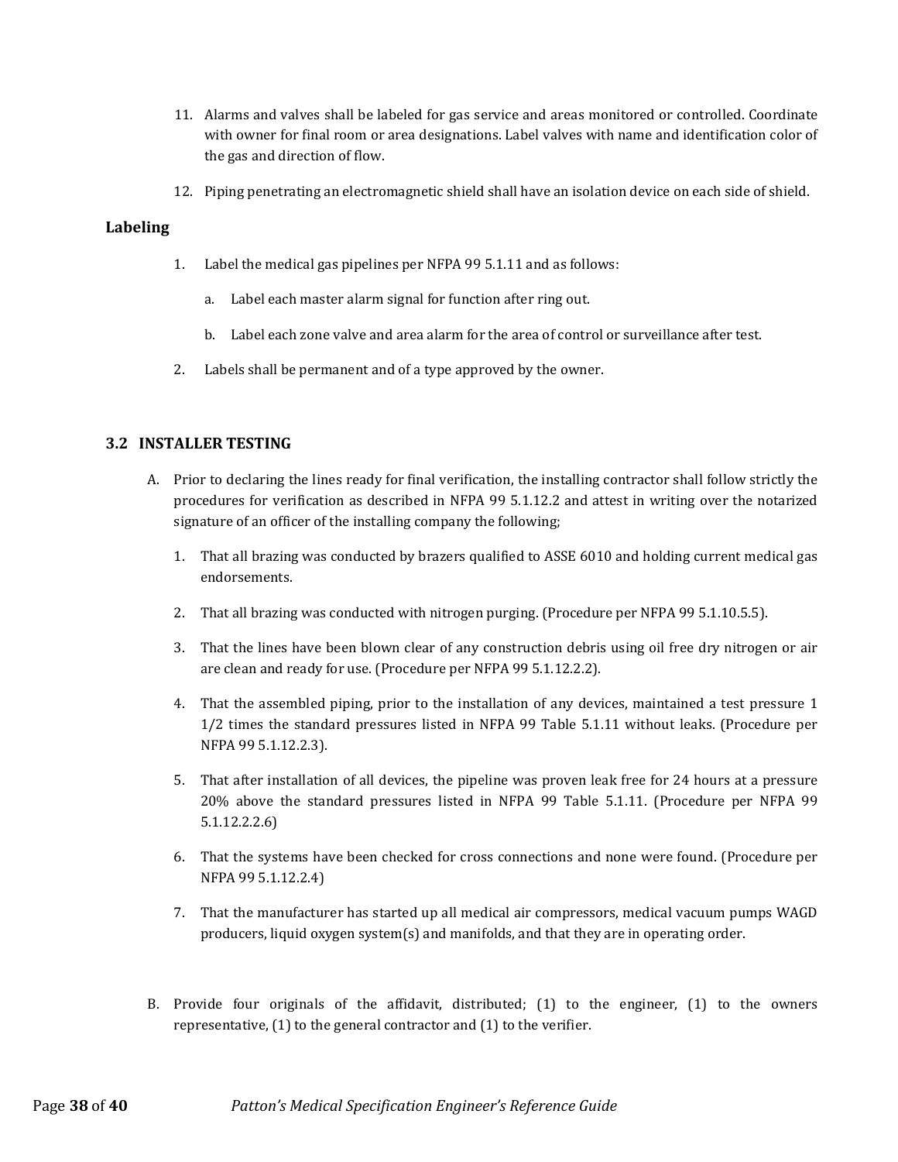- 11. Alarms and valves shall be labeled for gas service and areas monitored or controlled. Coordinate with owner for final room or area designations. Label valves with name and identification color of the gas and direction of flow.
- 12. Piping penetrating an electromagnetic shield shall have an isolation device on each side of shield.

#### <span id="page-37-0"></span>**Labeling**

- 1. Label the medical gas pipelines per NFPA 99 5.1.11 and as follows:
	- a. Label each master alarm signal for function after ring out.
	- b. Label each zone valve and area alarm for the area of control or surveillance after test.
- 2. Labels shall be permanent and of a type approved by the owner.

#### <span id="page-37-1"></span>**3.2 INSTALLER TESTING**

- A. Prior to declaring the lines ready for final verification, the installing contractor shall follow strictly the procedures for verification as described in NFPA 99 5.1.12.2 and attest in writing over the notarized signature of an officer of the installing company the following;
	- 1. That all brazing was conducted by brazers qualified to ASSE 6010 and holding current medical gas endorsements.
	- 2. That all brazing was conducted with nitrogen purging. (Procedure per NFPA 99 5.1.10.5.5).
	- 3. That the lines have been blown clear of any construction debris using oil free dry nitrogen or air are clean and ready for use. (Procedure per NFPA 99 5.1.12.2.2).
	- 4. That the assembled piping, prior to the installation of any devices, maintained a test pressure 1 1/2 times the standard pressures listed in NFPA 99 Table 5.1.11 without leaks. (Procedure per NFPA 99 5.1.12.2.3).
	- 5. That after installation of all devices, the pipeline was proven leak free for 24 hours at a pressure 20% above the standard pressures listed in NFPA 99 Table 5.1.11. (Procedure per NFPA 99 5.1.12.2.2.6)
	- 6. That the systems have been checked for cross connections and none were found. (Procedure per NFPA 99 5.1.12.2.4)
	- 7. That the manufacturer has started up all medical air compressors, medical vacuum pumps WAGD producers, liquid oxygen system(s) and manifolds, and that they are in operating order.
- B. Provide four originals of the affidavit, distributed; (1) to the engineer, (1) to the owners representative, (1) to the general contractor and (1) to the verifier.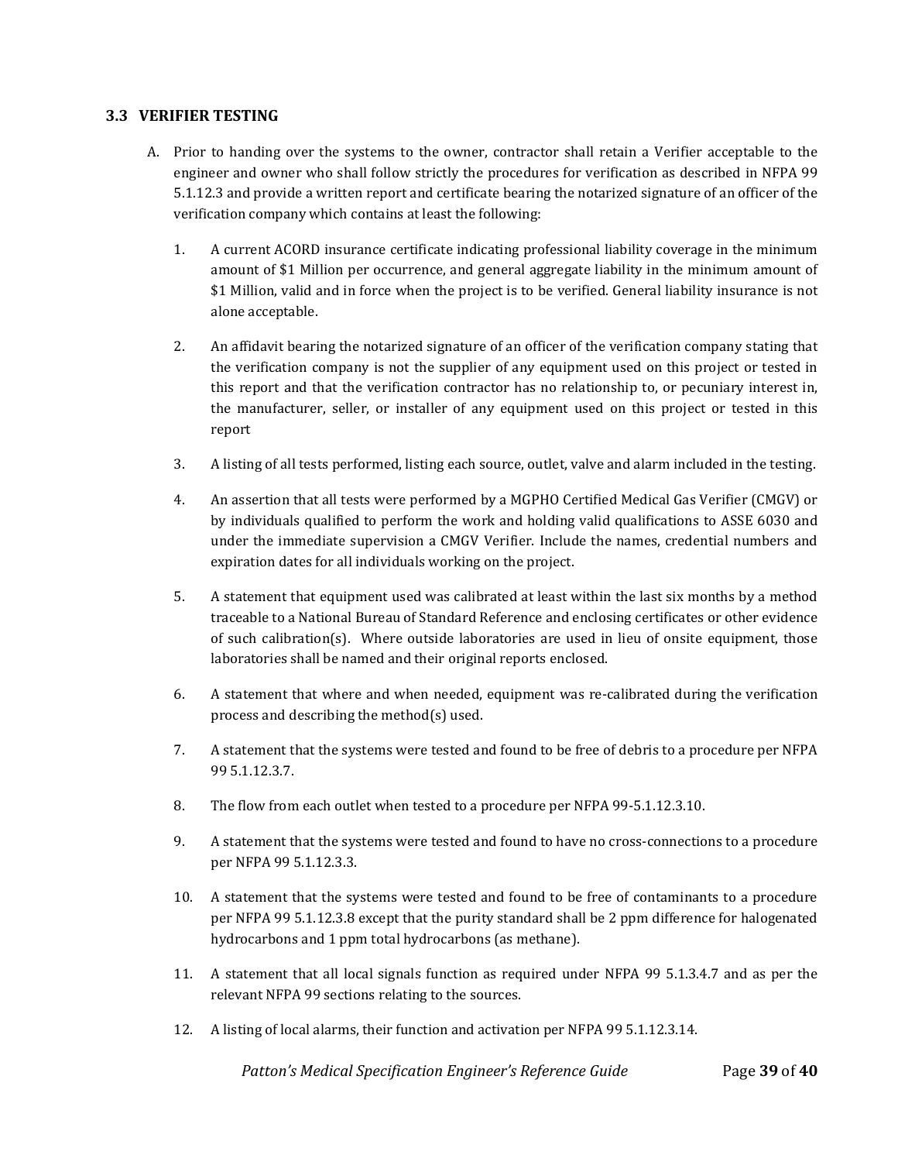#### <span id="page-38-0"></span>**3.3 VERIFIER TESTING**

- A. Prior to handing over the systems to the owner, contractor shall retain a Verifier acceptable to the engineer and owner who shall follow strictly the procedures for verification as described in NFPA 99 5.1.12.3 and provide a written report and certificate bearing the notarized signature of an officer of the verification company which contains at least the following:
	- 1. A current ACORD insurance certificate indicating professional liability coverage in the minimum amount of \$1 Million per occurrence, and general aggregate liability in the minimum amount of \$1 Million, valid and in force when the project is to be verified. General liability insurance is not alone acceptable.
	- 2. An affidavit bearing the notarized signature of an officer of the verification company stating that the verification company is not the supplier of any equipment used on this project or tested in this report and that the verification contractor has no relationship to, or pecuniary interest in, the manufacturer, seller, or installer of any equipment used on this project or tested in this report
	- 3. A listing of all tests performed, listing each source, outlet, valve and alarm included in the testing.
	- 4. An assertion that all tests were performed by a MGPHO Certified Medical Gas Verifier (CMGV) or by individuals qualified to perform the work and holding valid qualifications to ASSE 6030 and under the immediate supervision a CMGV Verifier. Include the names, credential numbers and expiration dates for all individuals working on the project.
	- 5. A statement that equipment used was calibrated at least within the last six months by a method traceable to a National Bureau of Standard Reference and enclosing certificates or other evidence of such calibration(s). Where outside laboratories are used in lieu of onsite equipment, those laboratories shall be named and their original reports enclosed.
	- 6. A statement that where and when needed, equipment was re-calibrated during the verification process and describing the method(s) used.
	- 7. A statement that the systems were tested and found to be free of debris to a procedure per NFPA 99 5.1.12.3.7.
	- 8. The flow from each outlet when tested to a procedure per NFPA 99-5.1.12.3.10.
	- 9. A statement that the systems were tested and found to have no cross-connections to a procedure per NFPA 99 5.1.12.3.3.
	- 10. A statement that the systems were tested and found to be free of contaminants to a procedure per NFPA 99 5.1.12.3.8 except that the purity standard shall be 2 ppm difference for halogenated hydrocarbons and 1 ppm total hydrocarbons (as methane).
	- 11. A statement that all local signals function as required under NFPA 99 5.1.3.4.7 and as per the relevant NFPA 99 sections relating to the sources.
	- 12. A listing of local alarms, their function and activation per NFPA 99 5.1.12.3.14.

 *Patton's Medical Specification Engineer's Reference Guide* Page **39** of **40**